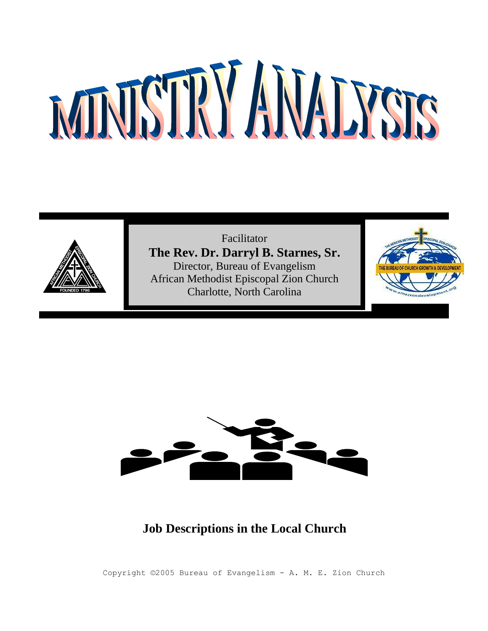

Facilitator **The Rev. Dr. Darryl B. Starnes, Sr.** Director, Bureau of Evangelism African Methodist Episcopal Zion Church Charlotte, North Carolina





# **Job Descriptions in the Local Church**

Copyright ©2005 Bureau of Evangelism - A. M. E. Zion Church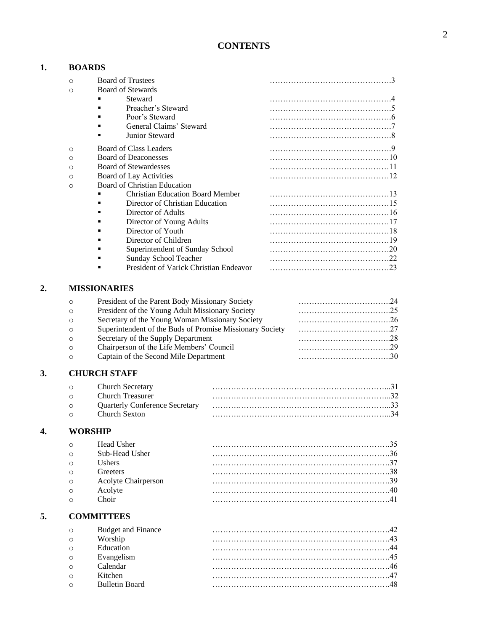# **CONTENTS**

# **1. BOARDS**

|    | $\circ$  | <b>Board of Trustees</b>                |  |
|----|----------|-----------------------------------------|--|
|    | $\circ$  | <b>Board of Stewards</b>                |  |
|    |          | Steward                                 |  |
|    |          | Preacher's Steward                      |  |
|    |          | Poor's Steward                          |  |
|    |          | General Claims' Steward                 |  |
|    |          | Junior Steward                          |  |
|    | $\circ$  | <b>Board of Class Leaders</b>           |  |
|    | $\Omega$ | <b>Board of Deaconesses</b>             |  |
|    | $\circ$  | <b>Board of Stewardesses</b>            |  |
|    | $\circ$  | Board of Lay Activities                 |  |
|    | $\circ$  | <b>Board of Christian Education</b>     |  |
|    |          | <b>Christian Education Board Member</b> |  |
|    |          | Director of Christian Education         |  |
|    |          | Director of Adults                      |  |
|    |          | Director of Young Adults                |  |
|    |          | Director of Youth                       |  |
|    |          | Director of Children                    |  |
|    |          | Superintendent of Sunday School         |  |
|    |          | Sunday School Teacher<br>٠              |  |
|    |          | President of Varick Christian Endeavor  |  |
| 2. |          | <b>MISSIONARIES</b>                     |  |

# **3. CHURCH STAFF**

| $\circ$ | <b>Church Secretary</b> |  |
|---------|-------------------------|--|
| $\cap$  | - Church Treasurer      |  |
| $\cap$  |                         |  |
| $\circ$ | - Church Sexton         |  |
|         |                         |  |

# **4. WORSHIP**

| Head Usher          |  |
|---------------------|--|
| Sub-Head Usher      |  |
| <b>Ishers</b>       |  |
| <b>Treefers</b>     |  |
| Acolyte Chairperson |  |
|                     |  |
|                     |  |
|                     |  |

# **5. COMMITTEES**

| $\Omega$ | <b>Budget and Finance</b> |  |
|----------|---------------------------|--|
| $\circ$  | Worship                   |  |
| $\circ$  | Education                 |  |
| $\circ$  | Evangelism                |  |
| $\circ$  | Calendar                  |  |
| $\circ$  | Kitchen                   |  |
| $\Omega$ | Bulletin Board            |  |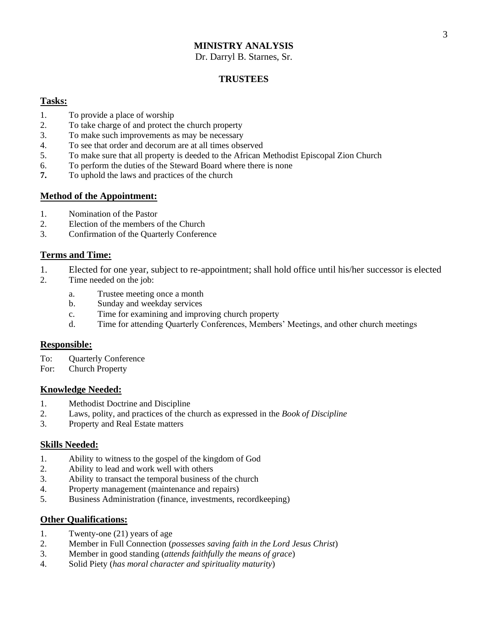Dr. Darryl B. Starnes, Sr.

#### **TRUSTEES**

#### **Tasks:**

- 1. To provide a place of worship
- 2. To take charge of and protect the church property
- 3. To make such improvements as may be necessary
- 4. To see that order and decorum are at all times observed
- 5. To make sure that all property is deeded to the African Methodist Episcopal Zion Church
- 6. To perform the duties of the Steward Board where there is none
- **7.** To uphold the laws and practices of the church

#### **Method of the Appointment:**

- 1. Nomination of the Pastor
- 2. Election of the members of the Church
- 3. Confirmation of the Quarterly Conference

#### **Terms and Time:**

- 1. Elected for one year, subject to re-appointment; shall hold office until his/her successor is elected
- 2. Time needed on the job:
	- a. Trustee meeting once a month
	- b. Sunday and weekday services
	- c. Time for examining and improving church property
	- d. Time for attending Quarterly Conferences, Members' Meetings, and other church meetings

#### **Responsible:**

- To: Quarterly Conference
- For: Church Property

#### **Knowledge Needed:**

- 1. Methodist Doctrine and Discipline
- 2. Laws, polity, and practices of the church as expressed in the *Book of Discipline*
- 3. Property and Real Estate matters

#### **Skills Needed:**

- 1. Ability to witness to the gospel of the kingdom of God
- 2. Ability to lead and work well with others
- 3. Ability to transact the temporal business of the church
- 4. Property management (maintenance and repairs)
- 5. Business Administration (finance, investments, recordkeeping)

- 1. Twenty-one (21) years of age
- 2. Member in Full Connection (*possesses saving faith in the Lord Jesus Christ*)
- 3. Member in good standing (*attends faithfully the means of grace*)
- 4. Solid Piety (*has moral character and spirituality maturity*)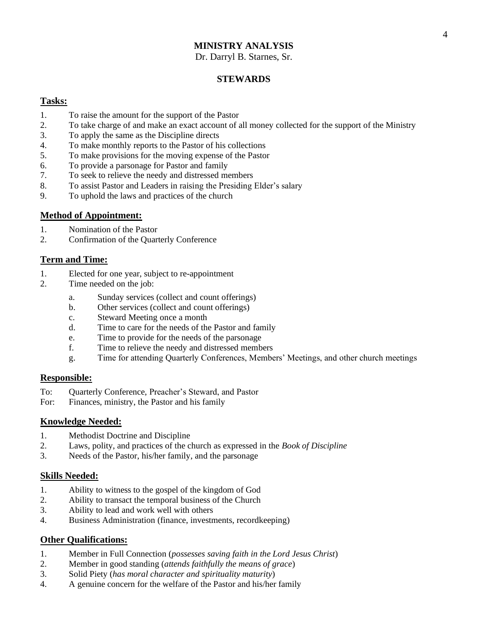Dr. Darryl B. Starnes, Sr.

#### **STEWARDS**

#### **Tasks:**

- 1. To raise the amount for the support of the Pastor
- 2. To take charge of and make an exact account of all money collected for the support of the Ministry
- 3. To apply the same as the Discipline directs
- 4. To make monthly reports to the Pastor of his collections
- 5. To make provisions for the moving expense of the Pastor
- 6. To provide a parsonage for Pastor and family
- 7. To seek to relieve the needy and distressed members
- 8. To assist Pastor and Leaders in raising the Presiding Elder's salary
- 9. To uphold the laws and practices of the church

#### **Method of Appointment:**

- 1. Nomination of the Pastor
- 2. Confirmation of the Quarterly Conference

# **Term and Time:**

- 1. Elected for one year, subject to re-appointment
- 2. Time needed on the job:
	- a. Sunday services (collect and count offerings)
	- b. Other services (collect and count offerings)
	- c. Steward Meeting once a month
	- d. Time to care for the needs of the Pastor and family
	- e. Time to provide for the needs of the parsonage
	- f. Time to relieve the needy and distressed members
	- g. Time for attending Quarterly Conferences, Members' Meetings, and other church meetings

#### **Responsible:**

- To: Quarterly Conference, Preacher's Steward, and Pastor
- For: Finances, ministry, the Pastor and his family

#### **Knowledge Needed:**

- 1. Methodist Doctrine and Discipline
- 2. Laws, polity, and practices of the church as expressed in the *Book of Discipline*
- 3. Needs of the Pastor, his/her family, and the parsonage

#### **Skills Needed:**

- 1. Ability to witness to the gospel of the kingdom of God
- 2. Ability to transact the temporal business of the Church
- 3. Ability to lead and work well with others
- 4. Business Administration (finance, investments, recordkeeping)

- 1. Member in Full Connection (*possesses saving faith in the Lord Jesus Christ*)
- 2. Member in good standing (*attends faithfully the means of grace*)
- 3. Solid Piety (*has moral character and spirituality maturity*)
- 4. A genuine concern for the welfare of the Pastor and his/her family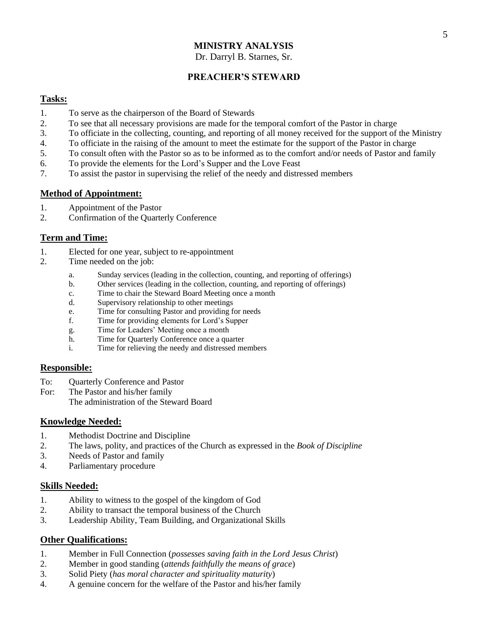Dr. Darryl B. Starnes, Sr.

# **PREACHER'S STEWARD**

#### **Tasks:**

- 1. To serve as the chairperson of the Board of Stewards
- 2. To see that all necessary provisions are made for the temporal comfort of the Pastor in charge
- 3. To officiate in the collecting, counting, and reporting of all money received for the support of the Ministry
- 4. To officiate in the raising of the amount to meet the estimate for the support of the Pastor in charge
- 5. To consult often with the Pastor so as to be informed as to the comfort and/or needs of Pastor and family
- 6. To provide the elements for the Lord's Supper and the Love Feast
- 7. To assist the pastor in supervising the relief of the needy and distressed members

## **Method of Appointment:**

- 1. Appointment of the Pastor
- 2. Confirmation of the Quarterly Conference

#### **Term and Time:**

- 1. Elected for one year, subject to re-appointment
- 2. Time needed on the job:
	- a. Sunday services (leading in the collection, counting, and reporting of offerings)
	- b. Other services (leading in the collection, counting, and reporting of offerings)
	- c. Time to chair the Steward Board Meeting once a month
	- d. Supervisory relationship to other meetings
	- e. Time for consulting Pastor and providing for needs
	- f. Time for providing elements for Lord's Supper
	- g. Time for Leaders' Meeting once a month
	- h. Time for Quarterly Conference once a quarter
	- i. Time for relieving the needy and distressed members

#### **Responsible:**

- To: Quarterly Conference and Pastor
- For: The Pastor and his/her family
	- The administration of the Steward Board

#### **Knowledge Needed:**

- 1. Methodist Doctrine and Discipline
- 2. The laws, polity, and practices of the Church as expressed in the *Book of Discipline*
- 3. Needs of Pastor and family
- 4. Parliamentary procedure

#### **Skills Needed:**

- 1. Ability to witness to the gospel of the kingdom of God
- 2. Ability to transact the temporal business of the Church
- 3. Leadership Ability, Team Building, and Organizational Skills

- 1. Member in Full Connection (*possesses saving faith in the Lord Jesus Christ*)
- 2. Member in good standing (*attends faithfully the means of grace*)
- 3. Solid Piety (*has moral character and spirituality maturity*)
- 4. A genuine concern for the welfare of the Pastor and his/her family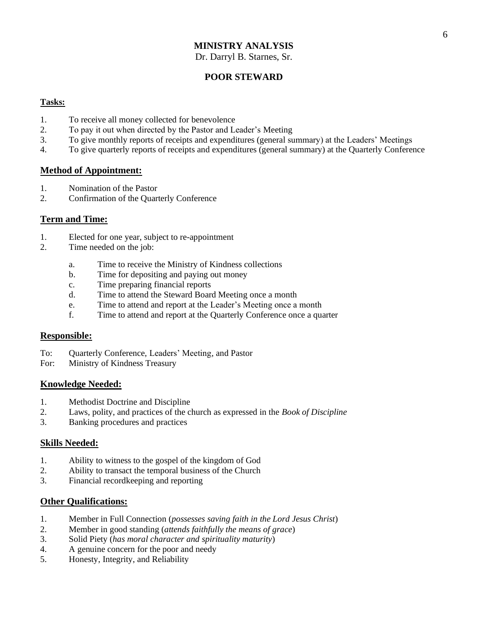Dr. Darryl B. Starnes, Sr.

# **POOR STEWARD**

#### **Tasks:**

- 1. To receive all money collected for benevolence
- 2. To pay it out when directed by the Pastor and Leader's Meeting
- 3. To give monthly reports of receipts and expenditures (general summary) at the Leaders' Meetings
- 4. To give quarterly reports of receipts and expenditures (general summary) at the Quarterly Conference

#### **Method of Appointment:**

- 1. Nomination of the Pastor
- 2. Confirmation of the Quarterly Conference

#### **Term and Time:**

- 1. Elected for one year, subject to re-appointment
- 2. Time needed on the job:
	- a. Time to receive the Ministry of Kindness collections
	- b. Time for depositing and paying out money
	- c. Time preparing financial reports
	- d. Time to attend the Steward Board Meeting once a month
	- e. Time to attend and report at the Leader's Meeting once a month
	- f. Time to attend and report at the Quarterly Conference once a quarter

#### **Responsible:**

- To: Quarterly Conference, Leaders' Meeting, and Pastor
- For: Ministry of Kindness Treasury

#### **Knowledge Needed:**

- 1. Methodist Doctrine and Discipline
- 2. Laws, polity, and practices of the church as expressed in the *Book of Discipline*
- 3. Banking procedures and practices

#### **Skills Needed:**

- 1. Ability to witness to the gospel of the kingdom of God
- 2. Ability to transact the temporal business of the Church
- 3. Financial recordkeeping and reporting

- 1. Member in Full Connection (*possesses saving faith in the Lord Jesus Christ*)
- 2. Member in good standing (*attends faithfully the means of grace*)
- 3. Solid Piety (*has moral character and spirituality maturity*)
- 4. A genuine concern for the poor and needy
- 5. Honesty, Integrity, and Reliability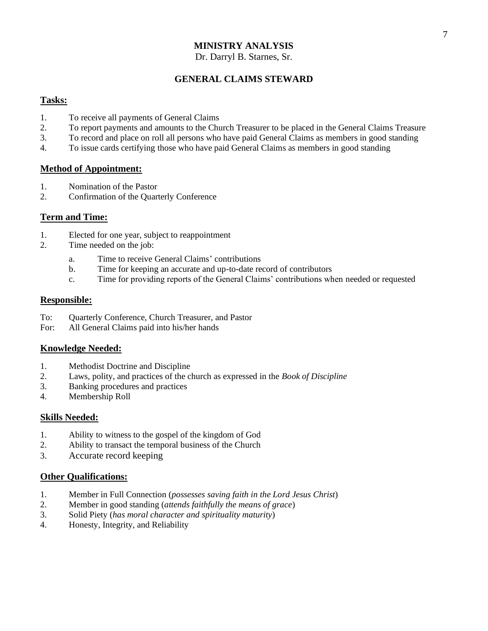#### Dr. Darryl B. Starnes, Sr.

# **GENERAL CLAIMS STEWARD**

#### **Tasks:**

- 1. To receive all payments of General Claims
- 2. To report payments and amounts to the Church Treasurer to be placed in the General Claims Treasure
- 3. To record and place on roll all persons who have paid General Claims as members in good standing
- 4. To issue cards certifying those who have paid General Claims as members in good standing

#### **Method of Appointment:**

- 1. Nomination of the Pastor
- 2. Confirmation of the Quarterly Conference

#### **Term and Time:**

- 1. Elected for one year, subject to reappointment
- 2. Time needed on the job:
	- a. Time to receive General Claims' contributions
	- b. Time for keeping an accurate and up-to-date record of contributors
	- c. Time for providing reports of the General Claims' contributions when needed or requested

#### **Responsible:**

- To: Quarterly Conference, Church Treasurer, and Pastor
- For: All General Claims paid into his/her hands

#### **Knowledge Needed:**

- 1. Methodist Doctrine and Discipline
- 2. Laws, polity, and practices of the church as expressed in the *Book of Discipline*
- 3. Banking procedures and practices
- 4. Membership Roll

#### **Skills Needed:**

- 1. Ability to witness to the gospel of the kingdom of God
- 2. Ability to transact the temporal business of the Church
- 3. Accurate record keeping

- 1. Member in Full Connection (*possesses saving faith in the Lord Jesus Christ*)
- 2. Member in good standing (*attends faithfully the means of grace*)
- 3. Solid Piety (*has moral character and spirituality maturity*)
- 4. Honesty, Integrity, and Reliability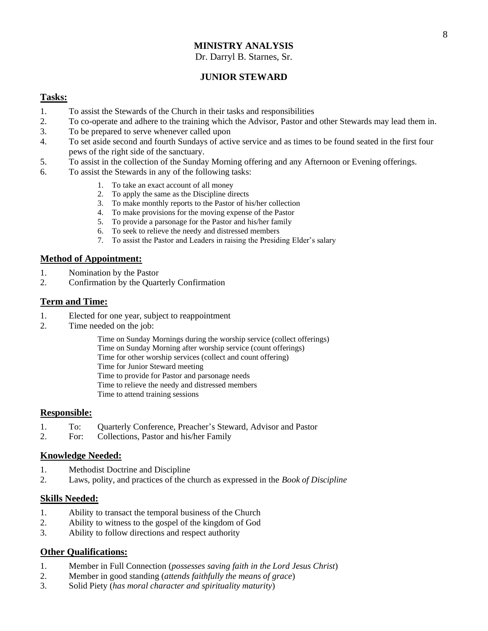#### Dr. Darryl B. Starnes, Sr.

# **JUNIOR STEWARD**

#### **Tasks:**

- 1. To assist the Stewards of the Church in their tasks and responsibilities
- 2. To co-operate and adhere to the training which the Advisor, Pastor and other Stewards may lead them in.
- 3. To be prepared to serve whenever called upon
- 4. To set aside second and fourth Sundays of active service and as times to be found seated in the first four pews of the right side of the sanctuary.
- 5. To assist in the collection of the Sunday Morning offering and any Afternoon or Evening offerings.
- 6. To assist the Stewards in any of the following tasks:
	- 1. To take an exact account of all money
	- 2. To apply the same as the Discipline directs
	- 3. To make monthly reports to the Pastor of his/her collection
	- 4. To make provisions for the moving expense of the Pastor
	- 5. To provide a parsonage for the Pastor and his/her family
	- 6. To seek to relieve the needy and distressed members
	- 7. To assist the Pastor and Leaders in raising the Presiding Elder's salary

#### **Method of Appointment:**

- 1. Nomination by the Pastor
- 2. Confirmation by the Quarterly Confirmation

#### **Term and Time:**

- 1. Elected for one year, subject to reappointment
- 2. Time needed on the job:
	- Time on Sunday Mornings during the worship service (collect offerings) Time on Sunday Morning after worship service (count offerings) Time for other worship services (collect and count offering) Time for Junior Steward meeting Time to provide for Pastor and parsonage needs Time to relieve the needy and distressed members Time to attend training sessions

#### **Responsible:**

- 1. To: Quarterly Conference, Preacher's Steward, Advisor and Pastor
- 2. For: Collections, Pastor and his/her Family

#### **Knowledge Needed:**

- 1. Methodist Doctrine and Discipline
- 2. Laws, polity, and practices of the church as expressed in the *Book of Discipline*

#### **Skills Needed:**

- 1. Ability to transact the temporal business of the Church
- 2. Ability to witness to the gospel of the kingdom of God
- 3. Ability to follow directions and respect authority

- 1. Member in Full Connection (*possesses saving faith in the Lord Jesus Christ*)
- 2. Member in good standing (*attends faithfully the means of grace*)
- 3. Solid Piety (*has moral character and spirituality maturity*)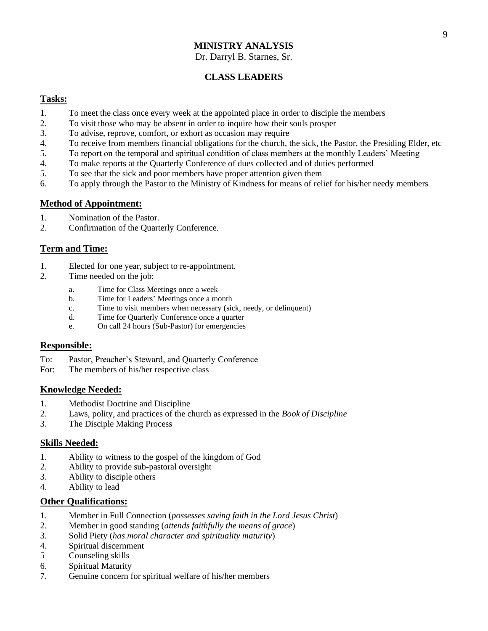Dr. Darryl B. Starnes, Sr.

# **CLASS LEADERS**

#### **Tasks:**

- 1. To meet the class once every week at the appointed place in order to disciple the members
- 2. To visit those who may be absent in order to inquire how their souls prosper
- 3. To advise, reprove, comfort, or exhort as occasion may require
- 4. To receive from members financial obligations for the church, the sick, the Pastor, the Presiding Elder, etc
- 5. To report on the temporal and spiritual condition of class members at the monthly Leaders' Meeting
- 4. To make reports at the Quarterly Conference of dues collected and of duties performed
- 5. To see that the sick and poor members have proper attention given them
- 6. To apply through the Pastor to the Ministry of Kindness for means of relief for his/her needy members

## **Method of Appointment:**

- 1. Nomination of the Pastor.
- 2. Confirmation of the Quarterly Conference.

## **Term and Time:**

- 1. Elected for one year, subject to re-appointment.
- 2. Time needed on the job:
	- a. Time for Class Meetings once a week
	- b. Time for Leaders' Meetings once a month
	- c. Time to visit members when necessary (sick, needy, or delinquent)
	- d. Time for Quarterly Conference once a quarter
	- e. On call 24 hours (Sub-Pastor) for emergencies

#### **Responsible:**

- To: Pastor, Preacher's Steward, and Quarterly Conference
- For: The members of his/her respective class

#### **Knowledge Needed:**

- 1. Methodist Doctrine and Discipline
- 2. Laws, polity, and practices of the church as expressed in the *Book of Discipline*
- 3. The Disciple Making Process

#### **Skills Needed:**

- 1. Ability to witness to the gospel of the kingdom of God
- 2. Ability to provide sub-pastoral oversight
- 3. Ability to disciple others
- 4. Ability to lead

- 1. Member in Full Connection (*possesses saving faith in the Lord Jesus Christ*)
- 2. Member in good standing (*attends faithfully the means of grace*)
- 3. Solid Piety (*has moral character and spirituality maturity*)
- 4. Spiritual discernment
- 5 Counseling skills
- 6. Spiritual Maturity
- 7. Genuine concern for spiritual welfare of his/her members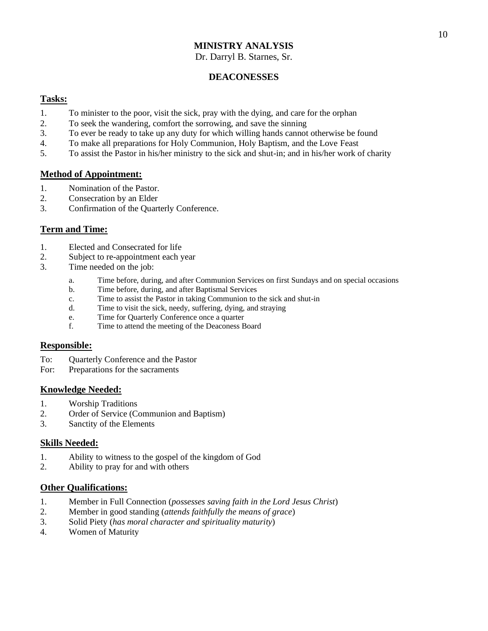Dr. Darryl B. Starnes, Sr.

#### **DEACONESSES**

#### **Tasks:**

- 1. To minister to the poor, visit the sick, pray with the dying, and care for the orphan
- 2. To seek the wandering, comfort the sorrowing, and save the sinning
- 3. To ever be ready to take up any duty for which willing hands cannot otherwise be found
- 4. To make all preparations for Holy Communion, Holy Baptism, and the Love Feast
- 5. To assist the Pastor in his/her ministry to the sick and shut-in; and in his/her work of charity

#### **Method of Appointment:**

- 1. Nomination of the Pastor.
- 2. Consecration by an Elder
- 3. Confirmation of the Quarterly Conference.

## **Term and Time:**

- 1. Elected and Consecrated for life
- 2. Subject to re-appointment each year
- 3. Time needed on the job:
	- a. Time before, during, and after Communion Services on first Sundays and on special occasions
	- b. Time before, during, and after Baptismal Services
	- c. Time to assist the Pastor in taking Communion to the sick and shut-in
	- d. Time to visit the sick, needy, suffering, dying, and straying
	- e. Time for Quarterly Conference once a quarter
	- f. Time to attend the meeting of the Deaconess Board

#### **Responsible:**

- To: Quarterly Conference and the Pastor
- For: Preparations for the sacraments

#### **Knowledge Needed:**

- 1. Worship Traditions
- 2. Order of Service (Communion and Baptism)
- 3. Sanctity of the Elements

#### **Skills Needed:**

- 1. Ability to witness to the gospel of the kingdom of God
- 2. Ability to pray for and with others

- 1. Member in Full Connection (*possesses saving faith in the Lord Jesus Christ*)
- 2. Member in good standing (*attends faithfully the means of grace*)
- 3. Solid Piety (*has moral character and spirituality maturity*)
- 4. Women of Maturity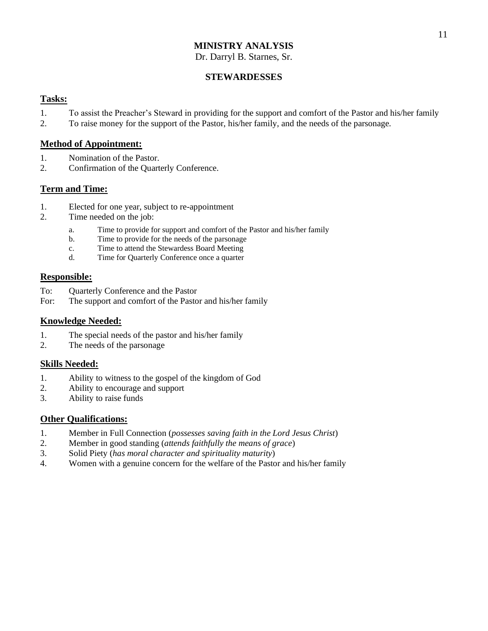Dr. Darryl B. Starnes, Sr.

#### **STEWARDESSES**

#### **Tasks:**

- 1. To assist the Preacher's Steward in providing for the support and comfort of the Pastor and his/her family
- 2. To raise money for the support of the Pastor, his/her family, and the needs of the parsonage.

#### **Method of Appointment:**

- 1. Nomination of the Pastor.
- 2. Confirmation of the Quarterly Conference.

## **Term and Time:**

- 1. Elected for one year, subject to re-appointment
- 2. Time needed on the job:
	- a. Time to provide for support and comfort of the Pastor and his/her family
	- b. Time to provide for the needs of the parsonage
	- c. Time to attend the Stewardess Board Meeting
	- d. Time for Quarterly Conference once a quarter

#### **Responsible:**

- To: Quarterly Conference and the Pastor
- For: The support and comfort of the Pastor and his/her family

#### **Knowledge Needed:**

- 1. The special needs of the pastor and his/her family
- 2. The needs of the parsonage

#### **Skills Needed:**

- 1. Ability to witness to the gospel of the kingdom of God
- 2. Ability to encourage and support
- 3. Ability to raise funds

- 1. Member in Full Connection (*possesses saving faith in the Lord Jesus Christ*)
- 2. Member in good standing (*attends faithfully the means of grace*)
- 3. Solid Piety (*has moral character and spirituality maturity*)
- 4. Women with a genuine concern for the welfare of the Pastor and his/her family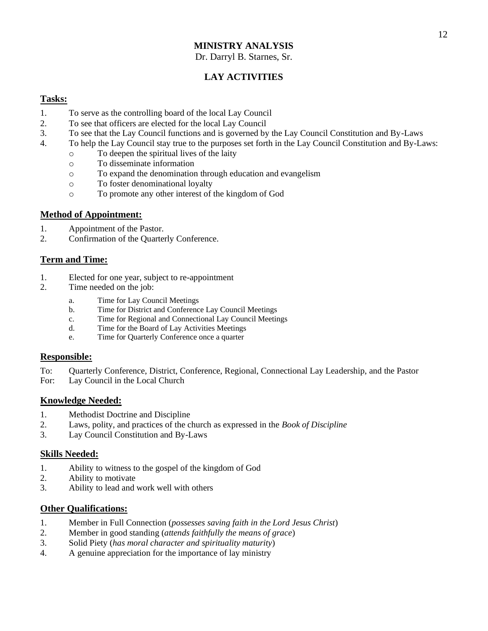Dr. Darryl B. Starnes, Sr.

# **LAY ACTIVITIES**

#### **Tasks:**

- 1. To serve as the controlling board of the local Lay Council
- 2. To see that officers are elected for the local Lay Council
- 3. To see that the Lay Council functions and is governed by the Lay Council Constitution and By-Laws
- 4. To help the Lay Council stay true to the purposes set forth in the Lay Council Constitution and By-Laws:
	- o To deepen the spiritual lives of the laity
	- o To disseminate information
	- o To expand the denomination through education and evangelism
	- o To foster denominational loyalty
	- o To promote any other interest of the kingdom of God

#### **Method of Appointment:**

- 1. Appointment of the Pastor.
- 2. Confirmation of the Quarterly Conference.

#### **Term and Time:**

- 1. Elected for one year, subject to re-appointment
- 2. Time needed on the job:
	- a. Time for Lay Council Meetings
	- b. Time for District and Conference Lay Council Meetings
	- c. Time for Regional and Connectional Lay Council Meetings
	- d. Time for the Board of Lay Activities Meetings
	- e. Time for Quarterly Conference once a quarter

#### **Responsible:**

- To: Quarterly Conference, District, Conference, Regional, Connectional Lay Leadership, and the Pastor
- For: Lay Council in the Local Church

#### **Knowledge Needed:**

- 1. Methodist Doctrine and Discipline
- 2. Laws, polity, and practices of the church as expressed in the *Book of Discipline*
- 3. Lay Council Constitution and By-Laws

#### **Skills Needed:**

- 1. Ability to witness to the gospel of the kingdom of God
- 2. Ability to motivate
- 3. Ability to lead and work well with others

- 1. Member in Full Connection (*possesses saving faith in the Lord Jesus Christ*)
- 2. Member in good standing (*attends faithfully the means of grace*)
- 3. Solid Piety (*has moral character and spirituality maturity*)
- 4. A genuine appreciation for the importance of lay ministry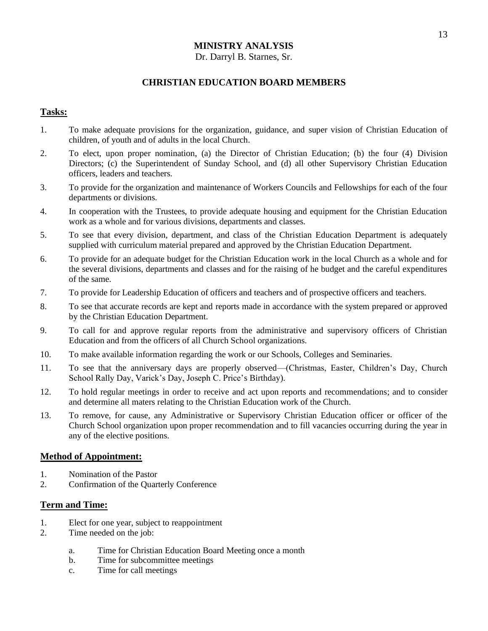#### Dr. Darryl B. Starnes, Sr.

#### **CHRISTIAN EDUCATION BOARD MEMBERS**

#### **Tasks:**

- 1. To make adequate provisions for the organization, guidance, and super vision of Christian Education of children, of youth and of adults in the local Church.
- 2. To elect, upon proper nomination, (a) the Director of Christian Education; (b) the four (4) Division Directors; (c) the Superintendent of Sunday School, and (d) all other Supervisory Christian Education officers, leaders and teachers.
- 3. To provide for the organization and maintenance of Workers Councils and Fellowships for each of the four departments or divisions.
- 4. In cooperation with the Trustees, to provide adequate housing and equipment for the Christian Education work as a whole and for various divisions, departments and classes.
- 5. To see that every division, department, and class of the Christian Education Department is adequately supplied with curriculum material prepared and approved by the Christian Education Department.
- 6. To provide for an adequate budget for the Christian Education work in the local Church as a whole and for the several divisions, departments and classes and for the raising of he budget and the careful expenditures of the same.
- 7. To provide for Leadership Education of officers and teachers and of prospective officers and teachers.
- 8. To see that accurate records are kept and reports made in accordance with the system prepared or approved by the Christian Education Department.
- 9. To call for and approve regular reports from the administrative and supervisory officers of Christian Education and from the officers of all Church School organizations.
- 10. To make available information regarding the work or our Schools, Colleges and Seminaries.
- 11. To see that the anniversary days are properly observed—(Christmas, Easter, Children's Day, Church School Rally Day, Varick's Day, Joseph C. Price's Birthday).
- 12. To hold regular meetings in order to receive and act upon reports and recommendations; and to consider and determine all maters relating to the Christian Education work of the Church.
- 13. To remove, for cause, any Administrative or Supervisory Christian Education officer or officer of the Church School organization upon proper recommendation and to fill vacancies occurring during the year in any of the elective positions.

#### **Method of Appointment:**

- 1. Nomination of the Pastor
- 2. Confirmation of the Quarterly Conference

#### **Term and Time:**

- 1. Elect for one year, subject to reappointment
- 2. Time needed on the job:
	- a. Time for Christian Education Board Meeting once a month
	- b. Time for subcommittee meetings
	- c. Time for call meetings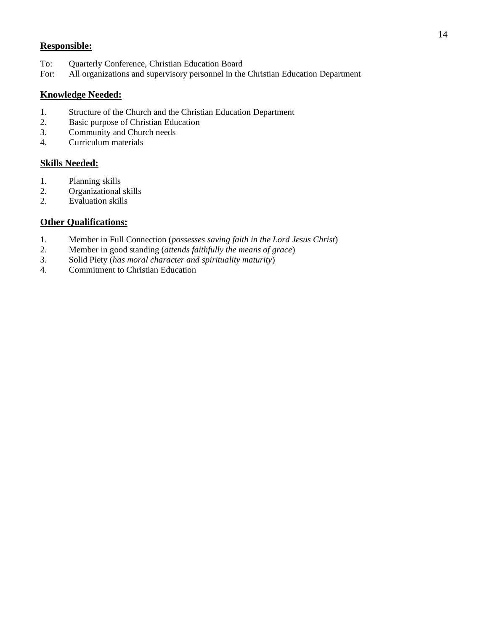# **Responsible:**

- To: Quarterly Conference, Christian Education Board
- For: All organizations and supervisory personnel in the Christian Education Department

#### **Knowledge Needed:**

- 1. Structure of the Church and the Christian Education Department
- 2. Basic purpose of Christian Education
- 3. Community and Church needs
- 4. Curriculum materials

#### **Skills Needed:**

- 1. Planning skills
- 2. Organizational skills
- 2. Evaluation skills

- 1. Member in Full Connection (*possesses saving faith in the Lord Jesus Christ*)
- 2. Member in good standing (*attends faithfully the means of grace*)
- 3. Solid Piety (*has moral character and spirituality maturity*)
- 4. Commitment to Christian Education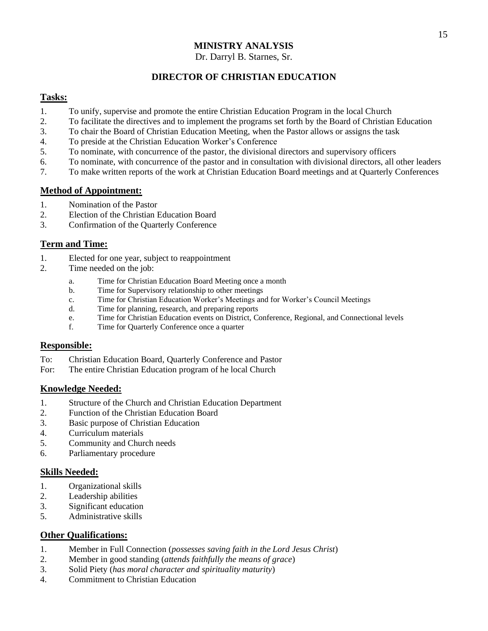#### Dr. Darryl B. Starnes, Sr.

# **DIRECTOR OF CHRISTIAN EDUCATION**

#### **Tasks:**

- 1. To unify, supervise and promote the entire Christian Education Program in the local Church
- 2. To facilitate the directives and to implement the programs set forth by the Board of Christian Education
- 3. To chair the Board of Christian Education Meeting, when the Pastor allows or assigns the task
- 4. To preside at the Christian Education Worker's Conference
- 5. To nominate, with concurrence of the pastor, the divisional directors and supervisory officers
- 6. To nominate, with concurrence of the pastor and in consultation with divisional directors, all other leaders
- 7. To make written reports of the work at Christian Education Board meetings and at Quarterly Conferences

#### **Method of Appointment:**

- 1. Nomination of the Pastor
- 2. Election of the Christian Education Board
- 3. Confirmation of the Quarterly Conference

## **Term and Time:**

- 1. Elected for one year, subject to reappointment
- 2. Time needed on the job:
	- a. Time for Christian Education Board Meeting once a month
	- b. Time for Supervisory relationship to other meetings
	- c. Time for Christian Education Worker's Meetings and for Worker's Council Meetings
	- d. Time for planning, research, and preparing reports
	- e. Time for Christian Education events on District, Conference, Regional, and Connectional levels
	- f. Time for Quarterly Conference once a quarter

#### **Responsible:**

- To: Christian Education Board, Quarterly Conference and Pastor
- For: The entire Christian Education program of he local Church

#### **Knowledge Needed:**

- 1. Structure of the Church and Christian Education Department
- 2. Function of the Christian Education Board
- 3. Basic purpose of Christian Education
- 4. Curriculum materials
- 5. Community and Church needs
- 6. Parliamentary procedure

#### **Skills Needed:**

- 1. Organizational skills
- 2. Leadership abilities
- 3. Significant education
- 5. Administrative skills

- 1. Member in Full Connection (*possesses saving faith in the Lord Jesus Christ*)
- 2. Member in good standing (*attends faithfully the means of grace*)
- 3. Solid Piety (*has moral character and spirituality maturity*)
- 4. Commitment to Christian Education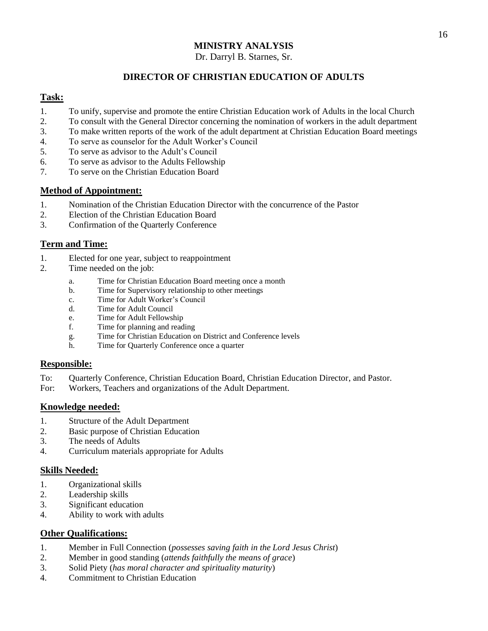#### Dr. Darryl B. Starnes, Sr.

# **DIRECTOR OF CHRISTIAN EDUCATION OF ADULTS**

#### **Task:**

- 1. To unify, supervise and promote the entire Christian Education work of Adults in the local Church
- 2. To consult with the General Director concerning the nomination of workers in the adult department
- 3. To make written reports of the work of the adult department at Christian Education Board meetings
- 4. To serve as counselor for the Adult Worker's Council
- 5. To serve as advisor to the Adult's Council
- 6. To serve as advisor to the Adults Fellowship
- 7. To serve on the Christian Education Board

#### **Method of Appointment:**

- 1. Nomination of the Christian Education Director with the concurrence of the Pastor
- 2. Election of the Christian Education Board
- 3. Confirmation of the Quarterly Conference

## **Term and Time:**

- 1. Elected for one year, subject to reappointment
- 2. Time needed on the job:
	- a. Time for Christian Education Board meeting once a month
	- b. Time for Supervisory relationship to other meetings
	- c. Time for Adult Worker's Council
	- d. Time for Adult Council
	- e. Time for Adult Fellowship
	- f. Time for planning and reading
	- g. Time for Christian Education on District and Conference levels
	- h. Time for Quarterly Conference once a quarter

#### **Responsible:**

- To: Quarterly Conference, Christian Education Board, Christian Education Director, and Pastor.
- For: Workers, Teachers and organizations of the Adult Department.

#### **Knowledge needed:**

- 1. Structure of the Adult Department
- 2. Basic purpose of Christian Education
- 3. The needs of Adults
- 4. Curriculum materials appropriate for Adults

#### **Skills Needed:**

- 1. Organizational skills
- 2. Leadership skills
- 3. Significant education
- 4. Ability to work with adults

- 1. Member in Full Connection (*possesses saving faith in the Lord Jesus Christ*)
- 2. Member in good standing (*attends faithfully the means of grace*)
- 3. Solid Piety (*has moral character and spirituality maturity*)
- 4. Commitment to Christian Education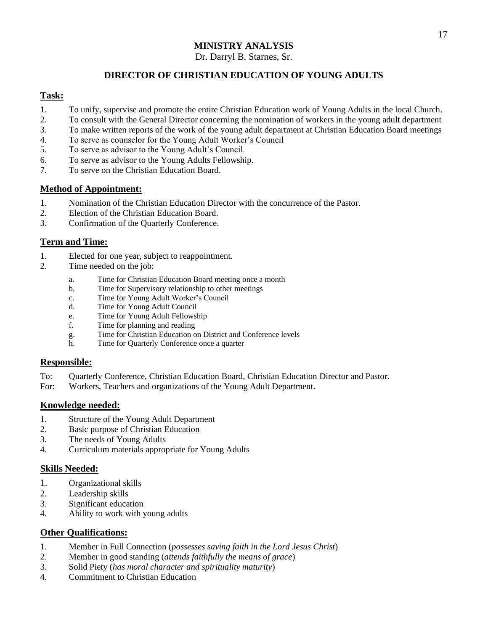Dr. Darryl B. Starnes, Sr.

# **DIRECTOR OF CHRISTIAN EDUCATION OF YOUNG ADULTS**

## **Task:**

- 1. To unify, supervise and promote the entire Christian Education work of Young Adults in the local Church.
- 2. To consult with the General Director concerning the nomination of workers in the young adult department
- 3. To make written reports of the work of the young adult department at Christian Education Board meetings
- 4. To serve as counselor for the Young Adult Worker's Council
- 5. To serve as advisor to the Young Adult's Council.
- 6. To serve as advisor to the Young Adults Fellowship.
- 7. To serve on the Christian Education Board.

## **Method of Appointment:**

- 1. Nomination of the Christian Education Director with the concurrence of the Pastor.
- 2. Election of the Christian Education Board.
- 3. Confirmation of the Quarterly Conference.

## **Term and Time:**

- 1. Elected for one year, subject to reappointment.
- 2. Time needed on the job:
	- a. Time for Christian Education Board meeting once a month
	- b. Time for Supervisory relationship to other meetings
	- c. Time for Young Adult Worker's Council
	- d. Time for Young Adult Council
	- e. Time for Young Adult Fellowship
	- f. Time for planning and reading
	- g. Time for Christian Education on District and Conference levels
	- h. Time for Quarterly Conference once a quarter

#### **Responsible:**

- To: Quarterly Conference, Christian Education Board, Christian Education Director and Pastor.
- For: Workers, Teachers and organizations of the Young Adult Department.

#### **Knowledge needed:**

- 1. Structure of the Young Adult Department
- 2. Basic purpose of Christian Education
- 3. The needs of Young Adults
- 4. Curriculum materials appropriate for Young Adults

#### **Skills Needed:**

- 1. Organizational skills
- 2. Leadership skills
- 3. Significant education
- 4. Ability to work with young adults

- 1. Member in Full Connection (*possesses saving faith in the Lord Jesus Christ*)
- 2. Member in good standing (*attends faithfully the means of grace*)
- 3. Solid Piety (*has moral character and spirituality maturity*)
- 4. Commitment to Christian Education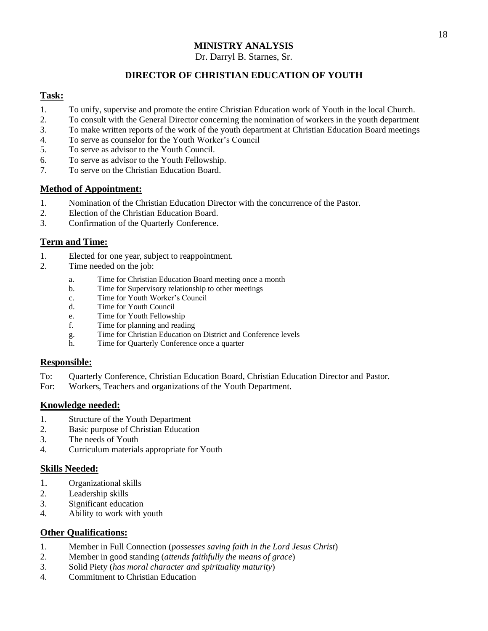Dr. Darryl B. Starnes, Sr.

# **DIRECTOR OF CHRISTIAN EDUCATION OF YOUTH**

#### **Task:**

- 1. To unify, supervise and promote the entire Christian Education work of Youth in the local Church.
- 2. To consult with the General Director concerning the nomination of workers in the youth department
- 3. To make written reports of the work of the youth department at Christian Education Board meetings
- 4. To serve as counselor for the Youth Worker's Council
- 5. To serve as advisor to the Youth Council.
- 6. To serve as advisor to the Youth Fellowship.
- 7. To serve on the Christian Education Board.

## **Method of Appointment:**

- 1. Nomination of the Christian Education Director with the concurrence of the Pastor.
- 2. Election of the Christian Education Board.
- 3. Confirmation of the Quarterly Conference.

## **Term and Time:**

- 1. Elected for one year, subject to reappointment.
- 2. Time needed on the job:
	- a. Time for Christian Education Board meeting once a month
	- b. Time for Supervisory relationship to other meetings
	- c. Time for Youth Worker's Council
	- d. Time for Youth Council
	- e. Time for Youth Fellowship
	- f. Time for planning and reading
	- g. Time for Christian Education on District and Conference levels
	- h. Time for Quarterly Conference once a quarter

#### **Responsible:**

- To: Quarterly Conference, Christian Education Board, Christian Education Director and Pastor.
- For: Workers, Teachers and organizations of the Youth Department.

#### **Knowledge needed:**

- 1. Structure of the Youth Department
- 2. Basic purpose of Christian Education
- 3. The needs of Youth
- 4. Curriculum materials appropriate for Youth

#### **Skills Needed:**

- 1. Organizational skills
- 2. Leadership skills
- 3. Significant education
- 4. Ability to work with youth

- 1. Member in Full Connection (*possesses saving faith in the Lord Jesus Christ*)
- 2. Member in good standing (*attends faithfully the means of grace*)
- 3. Solid Piety (*has moral character and spirituality maturity*)
- 4. Commitment to Christian Education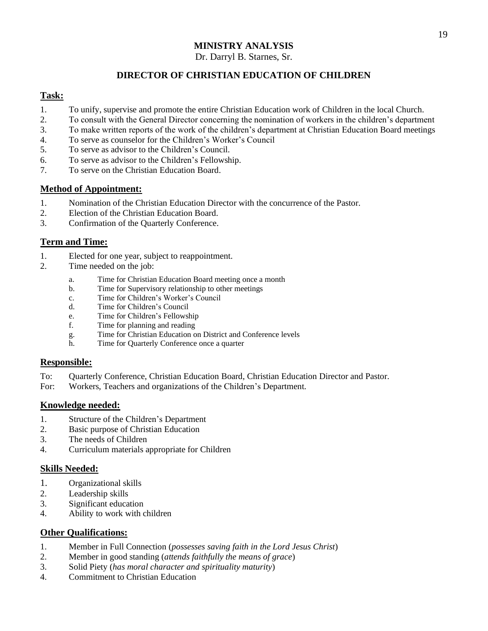Dr. Darryl B. Starnes, Sr.

# **DIRECTOR OF CHRISTIAN EDUCATION OF CHILDREN**

## **Task:**

- 1. To unify, supervise and promote the entire Christian Education work of Children in the local Church.
- 2. To consult with the General Director concerning the nomination of workers in the children's department
- 3. To make written reports of the work of the children's department at Christian Education Board meetings
- 4. To serve as counselor for the Children's Worker's Council
- 5. To serve as advisor to the Children's Council.
- 6. To serve as advisor to the Children's Fellowship.
- 7. To serve on the Christian Education Board.

#### **Method of Appointment:**

- 1. Nomination of the Christian Education Director with the concurrence of the Pastor.
- 2. Election of the Christian Education Board.
- 3. Confirmation of the Quarterly Conference.

## **Term and Time:**

- 1. Elected for one year, subject to reappointment.
- 2. Time needed on the job:
	- a. Time for Christian Education Board meeting once a month
	- b. Time for Supervisory relationship to other meetings
	- c. Time for Children's Worker's Council
	- d. Time for Children's Council
	- e. Time for Children's Fellowship
	- f. Time for planning and reading
	- g. Time for Christian Education on District and Conference levels
	- h. Time for Quarterly Conference once a quarter

#### **Responsible:**

- To: Quarterly Conference, Christian Education Board, Christian Education Director and Pastor.
- For: Workers, Teachers and organizations of the Children's Department.

#### **Knowledge needed:**

- 1. Structure of the Children's Department
- 2. Basic purpose of Christian Education
- 3. The needs of Children
- 4. Curriculum materials appropriate for Children

#### **Skills Needed:**

- 1. Organizational skills
- 2. Leadership skills
- 3. Significant education
- 4. Ability to work with children

- 1. Member in Full Connection (*possesses saving faith in the Lord Jesus Christ*)
- 2. Member in good standing (*attends faithfully the means of grace*)
- 3. Solid Piety (*has moral character and spirituality maturity*)
- 4. Commitment to Christian Education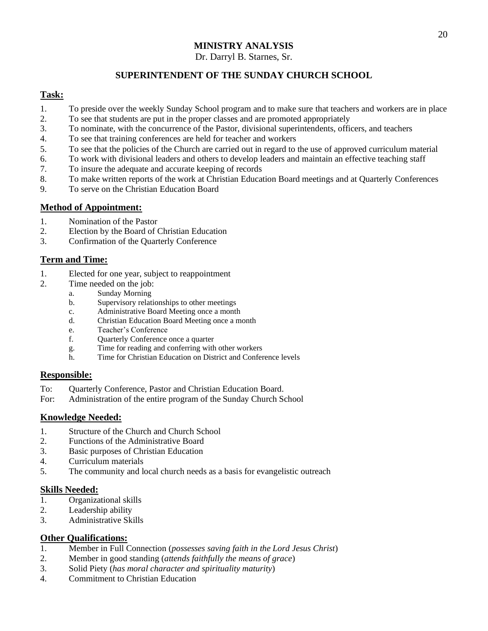Dr. Darryl B. Starnes, Sr.

# **SUPERINTENDENT OF THE SUNDAY CHURCH SCHOOL**

# **Task:**

- 1. To preside over the weekly Sunday School program and to make sure that teachers and workers are in place
- 2. To see that students are put in the proper classes and are promoted appropriately
- 3. To nominate, with the concurrence of the Pastor, divisional superintendents, officers, and teachers
- 4. To see that training conferences are held for teacher and workers
- 5. To see that the policies of the Church are carried out in regard to the use of approved curriculum material
- 6. To work with divisional leaders and others to develop leaders and maintain an effective teaching staff
- 7. To insure the adequate and accurate keeping of records
- 8. To make written reports of the work at Christian Education Board meetings and at Quarterly Conferences
- 9. To serve on the Christian Education Board

## **Method of Appointment:**

- 1. Nomination of the Pastor
- 2. Election by the Board of Christian Education
- 3. Confirmation of the Quarterly Conference

# **Term and Time:**

- 1. Elected for one year, subject to reappointment
- 2. Time needed on the job:
	- a. Sunday Morning
	- b. Supervisory relationships to other meetings
	- c. Administrative Board Meeting once a month
	- d. Christian Education Board Meeting once a month
	- e. Teacher's Conference
	- f. Quarterly Conference once a quarter
	- g. Time for reading and conferring with other workers
	- h. Time for Christian Education on District and Conference levels

#### **Responsible:**

- To: Quarterly Conference, Pastor and Christian Education Board.
- For: Administration of the entire program of the Sunday Church School

#### **Knowledge Needed:**

- 1. Structure of the Church and Church School
- 2. Functions of the Administrative Board
- 3. Basic purposes of Christian Education
- 4. Curriculum materials
- 5. The community and local church needs as a basis for evangelistic outreach

#### **Skills Needed:**

- 1. Organizational skills
- 2. Leadership ability
- 3. Administrative Skills

- 1. Member in Full Connection (*possesses saving faith in the Lord Jesus Christ*)
- 2. Member in good standing (*attends faithfully the means of grace*)
- 3. Solid Piety (*has moral character and spirituality maturity*)
- 4. Commitment to Christian Education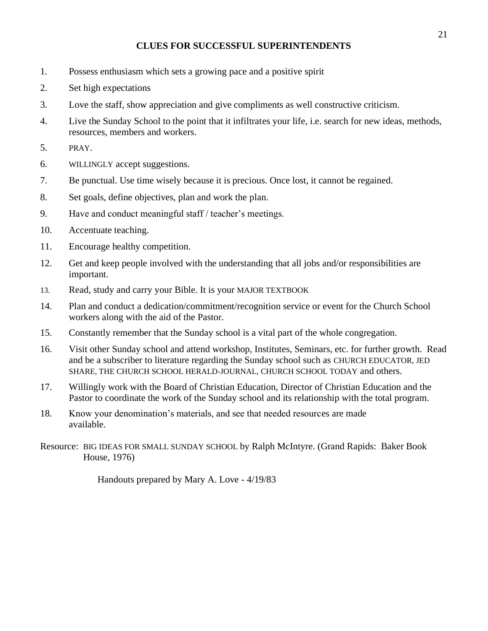# **CLUES FOR SUCCESSFUL SUPERINTENDENTS**

- 1. Possess enthusiasm which sets a growing pace and a positive spirit
- 2. Set high expectations
- 3. Love the staff, show appreciation and give compliments as well constructive criticism.
- 4. Live the Sunday School to the point that it infiltrates your life, i.e. search for new ideas, methods, resources, members and workers.
- 5. PRAY.
- 6. WILLINGLY accept suggestions.
- 7. Be punctual. Use time wisely because it is precious. Once lost, it cannot be regained.
- 8. Set goals, define objectives, plan and work the plan.
- 9. Have and conduct meaningful staff / teacher's meetings.
- 10. Accentuate teaching.
- 11. Encourage healthy competition.
- 12. Get and keep people involved with the understanding that all jobs and/or responsibilities are important.
- 13. Read, study and carry your Bible. It is your MAJOR TEXTBOOK
- 14. Plan and conduct a dedication/commitment/recognition service or event for the Church School workers along with the aid of the Pastor.
- 15. Constantly remember that the Sunday school is a vital part of the whole congregation.
- 16. Visit other Sunday school and attend workshop, Institutes, Seminars, etc. for further growth. Read and be a subscriber to literature regarding the Sunday school such as CHURCH EDUCATOR, JED SHARE, THE CHURCH SCHOOL HERALD-JOURNAL, CHURCH SCHOOL TODAY and others.
- 17. Willingly work with the Board of Christian Education, Director of Christian Education and the Pastor to coordinate the work of the Sunday school and its relationship with the total program.
- 18. Know your denomination's materials, and see that needed resources are made available.
- Resource: BIG IDEAS FOR SMALL SUNDAY SCHOOL by Ralph McIntyre. (Grand Rapids: Baker Book House, 1976)

Handouts prepared by Mary A. Love - 4/19/83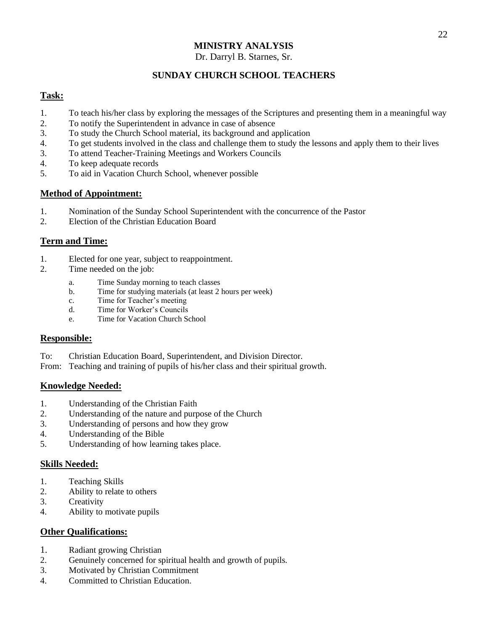#### Dr. Darryl B. Starnes, Sr.

# **SUNDAY CHURCH SCHOOL TEACHERS**

## **Task:**

- 1. To teach his/her class by exploring the messages of the Scriptures and presenting them in a meaningful way
- 2. To notify the Superintendent in advance in case of absence
- 3. To study the Church School material, its background and application
- 4. To get students involved in the class and challenge them to study the lessons and apply them to their lives
- 3. To attend Teacher-Training Meetings and Workers Councils
- 4. To keep adequate records
- 5. To aid in Vacation Church School, whenever possible

## **Method of Appointment:**

- 1. Nomination of the Sunday School Superintendent with the concurrence of the Pastor
- 2. Election of the Christian Education Board

## **Term and Time:**

- 1. Elected for one year, subject to reappointment.
- 2. Time needed on the job:
	- a. Time Sunday morning to teach classes
	- b. Time for studying materials (at least 2 hours per week)
	- c. Time for Teacher's meeting
	- d. Time for Worker's Councils
	- e. Time for Vacation Church School

#### **Responsible:**

- To: Christian Education Board, Superintendent, and Division Director.
- From: Teaching and training of pupils of his/her class and their spiritual growth.

#### **Knowledge Needed:**

- 1. Understanding of the Christian Faith
- 2. Understanding of the nature and purpose of the Church
- 3. Understanding of persons and how they grow
- 4. Understanding of the Bible
- 5. Understanding of how learning takes place.

#### **Skills Needed:**

- 1. Teaching Skills
- 2. Ability to relate to others
- 3. Creativity
- 4. Ability to motivate pupils

- 1. Radiant growing Christian
- 2. Genuinely concerned for spiritual health and growth of pupils.
- 3. Motivated by Christian Commitment
- 4. Committed to Christian Education.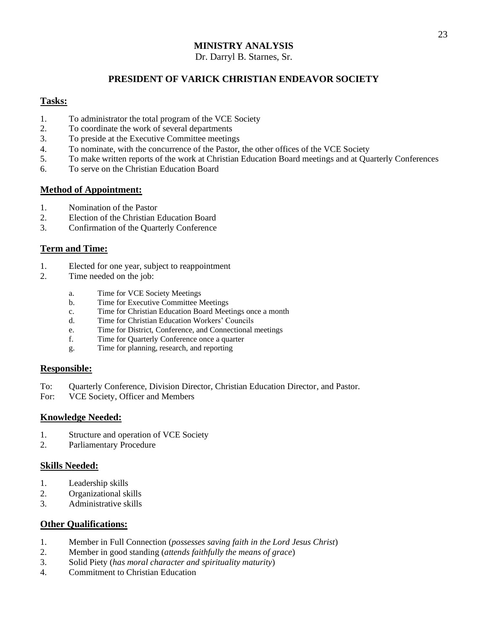#### Dr. Darryl B. Starnes, Sr.

#### **PRESIDENT OF VARICK CHRISTIAN ENDEAVOR SOCIETY**

#### **Tasks:**

- 1. To administrator the total program of the VCE Society
- 2. To coordinate the work of several departments
- 3. To preside at the Executive Committee meetings
- 4. To nominate, with the concurrence of the Pastor, the other offices of the VCE Society
- 5. To make written reports of the work at Christian Education Board meetings and at Quarterly Conferences
- 6. To serve on the Christian Education Board

#### **Method of Appointment:**

- 1. Nomination of the Pastor
- 2. Election of the Christian Education Board
- 3. Confirmation of the Quarterly Conference

## **Term and Time:**

- 1. Elected for one year, subject to reappointment
- 2. Time needed on the job:
	- a. Time for VCE Society Meetings
	- b. Time for Executive Committee Meetings
	- c. Time for Christian Education Board Meetings once a month
	- d. Time for Christian Education Workers' Councils
	- e. Time for District, Conference, and Connectional meetings
	- f. Time for Quarterly Conference once a quarter
	- g. Time for planning, research, and reporting

#### **Responsible:**

- To: Quarterly Conference, Division Director, Christian Education Director, and Pastor.
- For: VCE Society, Officer and Members

#### **Knowledge Needed:**

- 1. Structure and operation of VCE Society
- 2. Parliamentary Procedure

#### **Skills Needed:**

- 1. Leadership skills
- 2. Organizational skills
- 3. Administrative skills

- 1. Member in Full Connection (*possesses saving faith in the Lord Jesus Christ*)
- 2. Member in good standing (*attends faithfully the means of grace*)
- 3. Solid Piety (*has moral character and spirituality maturity*)
- 4. Commitment to Christian Education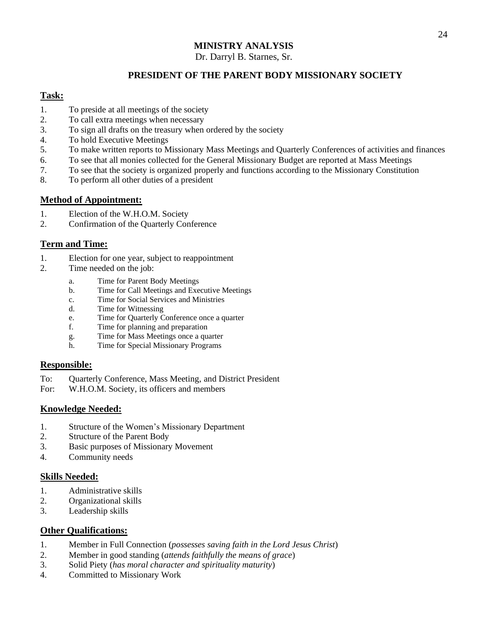Dr. Darryl B. Starnes, Sr.

# **PRESIDENT OF THE PARENT BODY MISSIONARY SOCIETY**

#### **Task:**

- 1. To preside at all meetings of the society
- 2. To call extra meetings when necessary
- 3. To sign all drafts on the treasury when ordered by the society
- 4. To hold Executive Meetings
- 5. To make written reports to Missionary Mass Meetings and Quarterly Conferences of activities and finances
- 6. To see that all monies collected for the General Missionary Budget are reported at Mass Meetings
- 7. To see that the society is organized properly and functions according to the Missionary Constitution
- 8. To perform all other duties of a president

#### **Method of Appointment:**

- 1. Election of the W.H.O.M. Society
- 2. Confirmation of the Quarterly Conference

#### **Term and Time:**

- 1. Election for one year, subject to reappointment
- 2. Time needed on the job:
	- a. Time for Parent Body Meetings
	- b. Time for Call Meetings and Executive Meetings
	- c. Time for Social Services and Ministries
	- d. Time for Witnessing
	- e. Time for Quarterly Conference once a quarter
	- f. Time for planning and preparation
	- g. Time for Mass Meetings once a quarter
	- h. Time for Special Missionary Programs

#### **Responsible:**

- To: Quarterly Conference, Mass Meeting, and District President
- For: W.H.O.M. Society, its officers and members

#### **Knowledge Needed:**

- 1. Structure of the Women's Missionary Department
- 2. Structure of the Parent Body
- 3. Basic purposes of Missionary Movement
- 4. Community needs

#### **Skills Needed:**

- 1. Administrative skills
- 2. Organizational skills
- 3. Leadership skills

- 1. Member in Full Connection (*possesses saving faith in the Lord Jesus Christ*)
- 2. Member in good standing (*attends faithfully the means of grace*)
- 3. Solid Piety (*has moral character and spirituality maturity*)
- 4. Committed to Missionary Work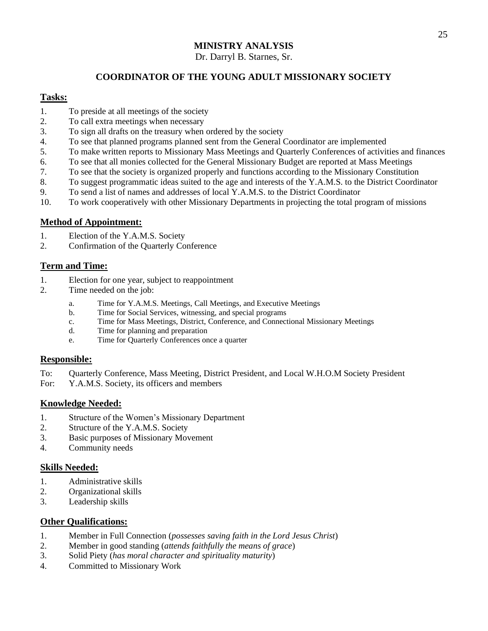#### Dr. Darryl B. Starnes, Sr.

# **COORDINATOR OF THE YOUNG ADULT MISSIONARY SOCIETY**

#### **Tasks:**

- 1. To preside at all meetings of the society
- 2. To call extra meetings when necessary
- 3. To sign all drafts on the treasury when ordered by the society
- 4. To see that planned programs planned sent from the General Coordinator are implemented
- 5. To make written reports to Missionary Mass Meetings and Quarterly Conferences of activities and finances
- 6. To see that all monies collected for the General Missionary Budget are reported at Mass Meetings
- 7. To see that the society is organized properly and functions according to the Missionary Constitution
- 8. To suggest programmatic ideas suited to the age and interests of the Y.A.M.S. to the District Coordinator
- 9. To send a list of names and addresses of local Y.A.M.S. to the District Coordinator
- 10. To work cooperatively with other Missionary Departments in projecting the total program of missions

#### **Method of Appointment:**

- 1. Election of the Y.A.M.S. Society
- 2. Confirmation of the Quarterly Conference

#### **Term and Time:**

- 1. Election for one year, subject to reappointment<br>2. Time needed on the iob:
- Time needed on the job:
	- a. Time for Y.A.M.S. Meetings, Call Meetings, and Executive Meetings
	- b. Time for Social Services, witnessing, and special programs
	- c. Time for Mass Meetings, District, Conference, and Connectional Missionary Meetings
	- d. Time for planning and preparation
	- e. Time for Quarterly Conferences once a quarter

#### **Responsible:**

- To: Quarterly Conference, Mass Meeting, District President, and Local W.H.O.M Society President
- For: Y.A.M.S. Society, its officers and members

#### **Knowledge Needed:**

- 1. Structure of the Women's Missionary Department
- 2. Structure of the Y.A.M.S. Society
- 3. Basic purposes of Missionary Movement
- 4. Community needs

#### **Skills Needed:**

- 1. Administrative skills
- 2. Organizational skills
- 3. Leadership skills

- 1. Member in Full Connection (*possesses saving faith in the Lord Jesus Christ*)
- 2. Member in good standing (*attends faithfully the means of grace*)
- 3. Solid Piety (*has moral character and spirituality maturity*)
- 4. Committed to Missionary Work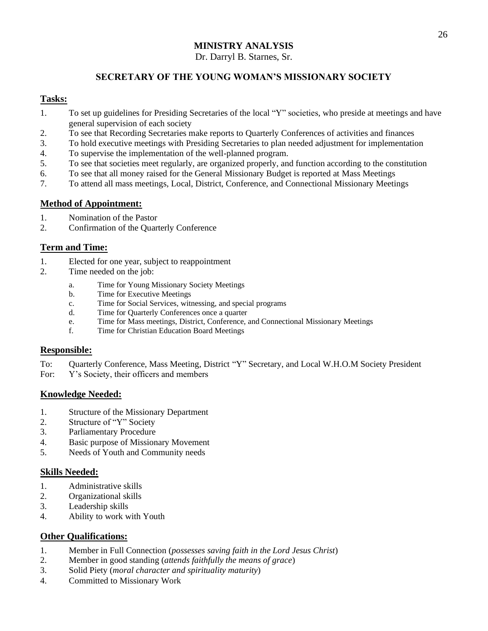#### Dr. Darryl B. Starnes, Sr.

# **SECRETARY OF THE YOUNG WOMAN'S MISSIONARY SOCIETY**

#### **Tasks:**

- 1. To set up guidelines for Presiding Secretaries of the local "Y" societies, who preside at meetings and have general supervision of each society
- 2. To see that Recording Secretaries make reports to Quarterly Conferences of activities and finances
- 3. To hold executive meetings with Presiding Secretaries to plan needed adjustment for implementation
- 4. To supervise the implementation of the well-planned program.
- 5. To see that societies meet regularly, are organized properly, and function according to the constitution
- 6. To see that all money raised for the General Missionary Budget is reported at Mass Meetings
- 7. To attend all mass meetings, Local, District, Conference, and Connectional Missionary Meetings

#### **Method of Appointment:**

- 1. Nomination of the Pastor
- 2. Confirmation of the Quarterly Conference

#### **Term and Time:**

- 1. Elected for one year, subject to reappointment
- 2. Time needed on the job:
	- a. Time for Young Missionary Society Meetings
	- b. Time for Executive Meetings
	- c. Time for Social Services, witnessing, and special programs
	- d. Time for Quarterly Conferences once a quarter
	- e. Time for Mass meetings, District, Conference, and Connectional Missionary Meetings
	- f. Time for Christian Education Board Meetings

#### **Responsible:**

- To: Quarterly Conference, Mass Meeting, District "Y" Secretary, and Local W.H.O.M Society President
- For: Y's Society, their officers and members

#### **Knowledge Needed:**

- 1. Structure of the Missionary Department
- 2. Structure of "Y" Society
- 3. Parliamentary Procedure
- 4. Basic purpose of Missionary Movement
- 5. Needs of Youth and Community needs

#### **Skills Needed:**

- 1. Administrative skills
- 2. Organizational skills
- 3. Leadership skills
- 4. Ability to work with Youth

- 1. Member in Full Connection (*possesses saving faith in the Lord Jesus Christ*)
- 2. Member in good standing (*attends faithfully the means of grace*)
- 3. Solid Piety (*moral character and spirituality maturity*)
- 4. Committed to Missionary Work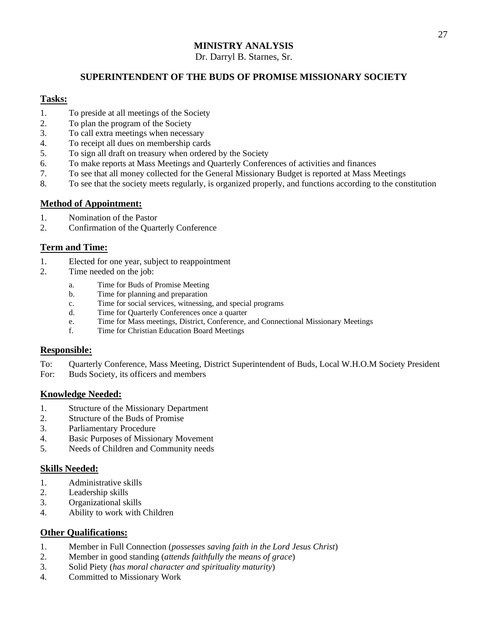Dr. Darryl B. Starnes, Sr.

# **SUPERINTENDENT OF THE BUDS OF PROMISE MISSIONARY SOCIETY**

#### **Tasks:**

- 1. To preside at all meetings of the Society
- 2. To plan the program of the Society
- 3. To call extra meetings when necessary
- 4. To receipt all dues on membership cards
- 5. To sign all draft on treasury when ordered by the Society
- 6. To make reports at Mass Meetings and Quarterly Conferences of activities and finances
- 7. To see that all money collected for the General Missionary Budget is reported at Mass Meetings
- 8. To see that the society meets regularly, is organized properly, and functions according to the constitution

#### **Method of Appointment:**

- 1. Nomination of the Pastor
- 2. Confirmation of the Quarterly Conference

#### **Term and Time:**

- 1. Elected for one year, subject to reappointment
- 2. Time needed on the job:
	- a. Time for Buds of Promise Meeting
	- b. Time for planning and preparation
	- c. Time for social services, witnessing, and special programs
	- d. Time for Quarterly Conferences once a quarter
	- e. Time for Mass meetings, District, Conference, and Connectional Missionary Meetings
	- f. Time for Christian Education Board Meetings

#### **Responsible:**

- To: Quarterly Conference, Mass Meeting, District Superintendent of Buds, Local W.H.O.M Society President
- For: Buds Society, its officers and members

#### **Knowledge Needed:**

- 1. Structure of the Missionary Department
- 2. Structure of the Buds of Promise
- 3. Parliamentary Procedure
- 4. Basic Purposes of Missionary Movement
- 5. Needs of Children and Community needs

#### **Skills Needed:**

- 1. Administrative skills
- 2. Leadership skills
- 3. Organizational skills
- 4. Ability to work with Children

- 1. Member in Full Connection (*possesses saving faith in the Lord Jesus Christ*)
- 2. Member in good standing (*attends faithfully the means of grace*)
- 3. Solid Piety (*has moral character and spirituality maturity*)
- 4. Committed to Missionary Work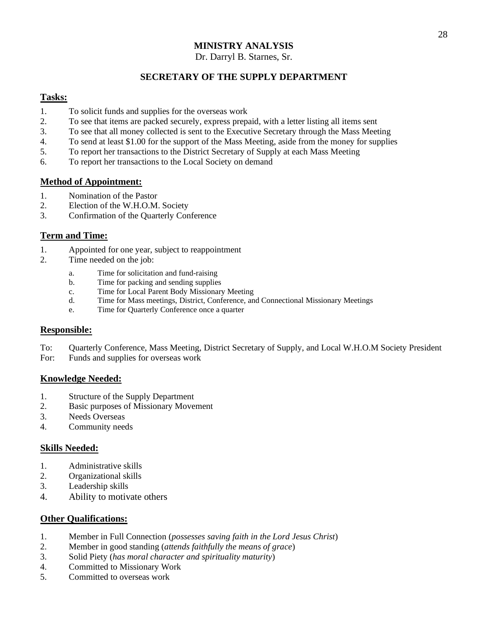#### Dr. Darryl B. Starnes, Sr.

#### **SECRETARY OF THE SUPPLY DEPARTMENT**

#### **Tasks:**

- 1. To solicit funds and supplies for the overseas work
- 2. To see that items are packed securely, express prepaid, with a letter listing all items sent
- 3. To see that all money collected is sent to the Executive Secretary through the Mass Meeting
- 4. To send at least \$1.00 for the support of the Mass Meeting, aside from the money for supplies
- 5. To report her transactions to the District Secretary of Supply at each Mass Meeting
- 6. To report her transactions to the Local Society on demand

#### **Method of Appointment:**

- 1. Nomination of the Pastor
- 2. Election of the W.H.O.M. Society
- 3. Confirmation of the Quarterly Conference

#### **Term and Time:**

- 1. Appointed for one year, subject to reappointment
- 2. Time needed on the job:
	- a. Time for solicitation and fund-raising
	- b. Time for packing and sending supplies
	- c. Time for Local Parent Body Missionary Meeting
	- d. Time for Mass meetings, District, Conference, and Connectional Missionary Meetings
	- e. Time for Quarterly Conference once a quarter

#### **Responsible:**

- To: Quarterly Conference, Mass Meeting, District Secretary of Supply, and Local W.H.O.M Society President
- For: Funds and supplies for overseas work

#### **Knowledge Needed:**

- 1. Structure of the Supply Department
- 2. Basic purposes of Missionary Movement
- 3. Needs Overseas
- 4. Community needs

#### **Skills Needed:**

- 1. Administrative skills
- 2. Organizational skills
- 3. Leadership skills
- 4. Ability to motivate others

- 1. Member in Full Connection (*possesses saving faith in the Lord Jesus Christ*)
- 2. Member in good standing (*attends faithfully the means of grace*)
- 3. Solid Piety (*has moral character and spirituality maturity*)
- 4. Committed to Missionary Work
- 5. Committed to overseas work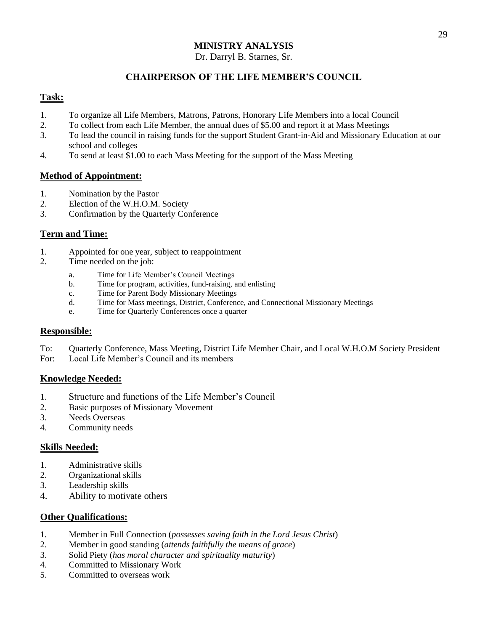Dr. Darryl B. Starnes, Sr.

# **CHAIRPERSON OF THE LIFE MEMBER'S COUNCIL**

## **Task:**

- 1. To organize all Life Members, Matrons, Patrons, Honorary Life Members into a local Council
- 2. To collect from each Life Member, the annual dues of \$5.00 and report it at Mass Meetings
- 3. To lead the council in raising funds for the support Student Grant-in-Aid and Missionary Education at our school and colleges
- 4. To send at least \$1.00 to each Mass Meeting for the support of the Mass Meeting

#### **Method of Appointment:**

- 1. Nomination by the Pastor
- 2. Election of the W.H.O.M. Society
- 3. Confirmation by the Quarterly Conference

#### **Term and Time:**

- 1. Appointed for one year, subject to reappointment
- 2. Time needed on the job:
	- a. Time for Life Member's Council Meetings
	- b. Time for program, activities, fund-raising, and enlisting
	- c. Time for Parent Body Missionary Meetings
	- d. Time for Mass meetings, District, Conference, and Connectional Missionary Meetings
	- e. Time for Quarterly Conferences once a quarter

#### **Responsible:**

- To: Quarterly Conference, Mass Meeting, District Life Member Chair, and Local W.H.O.M Society President
- For: Local Life Member's Council and its members

#### **Knowledge Needed:**

- 1. Structure and functions of the Life Member's Council
- 2. Basic purposes of Missionary Movement
- 3. Needs Overseas
- 4. Community needs

#### **Skills Needed:**

- 1. Administrative skills
- 2. Organizational skills
- 3. Leadership skills
- 4. Ability to motivate others

- 1. Member in Full Connection (*possesses saving faith in the Lord Jesus Christ*)
- 2. Member in good standing (*attends faithfully the means of grace*)
- 3. Solid Piety (*has moral character and spirituality maturity*)
- 4. Committed to Missionary Work
- 5. Committed to overseas work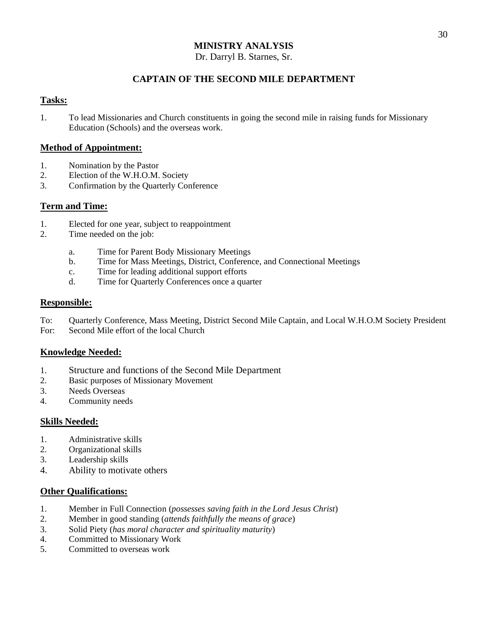#### Dr. Darryl B. Starnes, Sr.

# **CAPTAIN OF THE SECOND MILE DEPARTMENT**

#### **Tasks:**

1. To lead Missionaries and Church constituents in going the second mile in raising funds for Missionary Education (Schools) and the overseas work.

#### **Method of Appointment:**

- 1. Nomination by the Pastor
- 2. Election of the W.H.O.M. Society
- 3. Confirmation by the Quarterly Conference

#### **Term and Time:**

- 1. Elected for one year, subject to reappointment
- 2. Time needed on the job:
	- a. Time for Parent Body Missionary Meetings
	- b. Time for Mass Meetings, District, Conference, and Connectional Meetings
	- c. Time for leading additional support efforts
	- d. Time for Quarterly Conferences once a quarter

#### **Responsible:**

- To: Quarterly Conference, Mass Meeting, District Second Mile Captain, and Local W.H.O.M Society President
- For: Second Mile effort of the local Church

#### **Knowledge Needed:**

- 1. Structure and functions of the Second Mile Department
- 2. Basic purposes of Missionary Movement
- 3. Needs Overseas
- 4. Community needs

#### **Skills Needed:**

- 1. Administrative skills
- 2. Organizational skills
- 3. Leadership skills
- 4. Ability to motivate others

- 1. Member in Full Connection (*possesses saving faith in the Lord Jesus Christ*)
- 2. Member in good standing (*attends faithfully the means of grace*)
- 3. Solid Piety (*has moral character and spirituality maturity*)
- 4. Committed to Missionary Work
- 5. Committed to overseas work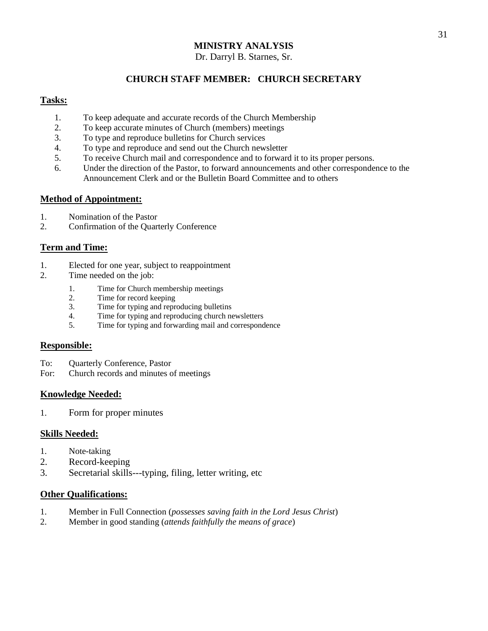#### Dr. Darryl B. Starnes, Sr.

# **CHURCH STAFF MEMBER: CHURCH SECRETARY**

#### **Tasks:**

- 1. To keep adequate and accurate records of the Church Membership
- 2. To keep accurate minutes of Church (members) meetings
- 3. To type and reproduce bulletins for Church services
- 4. To type and reproduce and send out the Church newsletter
- 5. To receive Church mail and correspondence and to forward it to its proper persons.
- 6. Under the direction of the Pastor, to forward announcements and other correspondence to the Announcement Clerk and or the Bulletin Board Committee and to others

#### **Method of Appointment:**

- 1. Nomination of the Pastor
- 2. Confirmation of the Quarterly Conference

#### **Term and Time:**

- 1. Elected for one year, subject to reappointment
- 2. Time needed on the job:
	- 1. Time for Church membership meetings
	- 2. Time for record keeping
	- 3. Time for typing and reproducing bulletins
	- 4. Time for typing and reproducing church newsletters<br>5. Time for typing and forwarding mail and correspond
	- Time for typing and forwarding mail and correspondence

#### **Responsible:**

- To: Quarterly Conference, Pastor
- For: Church records and minutes of meetings

#### **Knowledge Needed:**

1. Form for proper minutes

#### **Skills Needed:**

- 1. Note-taking
- 2. Record-keeping
- 3. Secretarial skills---typing, filing, letter writing, etc

- 1. Member in Full Connection (*possesses saving faith in the Lord Jesus Christ*)
- 2. Member in good standing (*attends faithfully the means of grace*)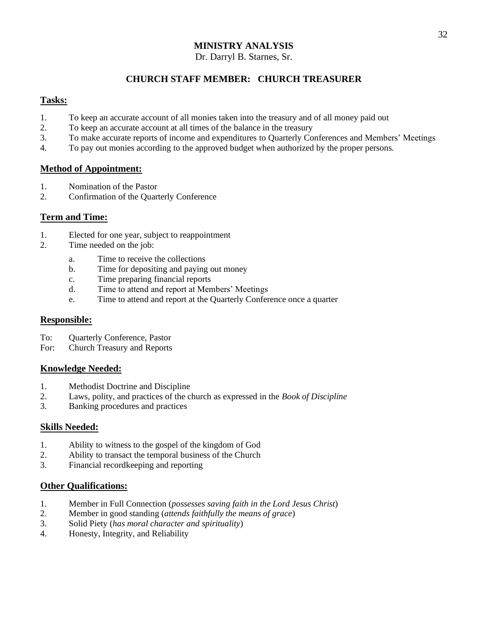#### Dr. Darryl B. Starnes, Sr.

# **CHURCH STAFF MEMBER: CHURCH TREASURER**

#### **Tasks:**

- 1. To keep an accurate account of all monies taken into the treasury and of all money paid out
- 2. To keep an accurate account at all times of the balance in the treasury
- 3. To make accurate reports of income and expenditures to Quarterly Conferences and Members' Meetings
- 4. To pay out monies according to the approved budget when authorized by the proper persons.

#### **Method of Appointment:**

- 1. Nomination of the Pastor
- 2. Confirmation of the Quarterly Conference

## **Term and Time:**

- 1. Elected for one year, subject to reappointment
- 2. Time needed on the job:
	- a. Time to receive the collections
	- b. Time for depositing and paying out money
	- c. Time preparing financial reports
	- d. Time to attend and report at Members' Meetings
	- e. Time to attend and report at the Quarterly Conference once a quarter

#### **Responsible:**

- To: Quarterly Conference, Pastor
- For: Church Treasury and Reports

#### **Knowledge Needed:**

- 1. Methodist Doctrine and Discipline
- 2. Laws, polity, and practices of the church as expressed in the *Book of Discipline*
- 3. Banking procedures and practices

#### **Skills Needed:**

- 1. Ability to witness to the gospel of the kingdom of God
- 2. Ability to transact the temporal business of the Church
- 3. Financial recordkeeping and reporting

- 1. Member in Full Connection (*possesses saving faith in the Lord Jesus Christ*)
- 2. Member in good standing (*attends faithfully the means of grace*)
- 3. Solid Piety (*has moral character and spirituality*)
- 4. Honesty, Integrity, and Reliability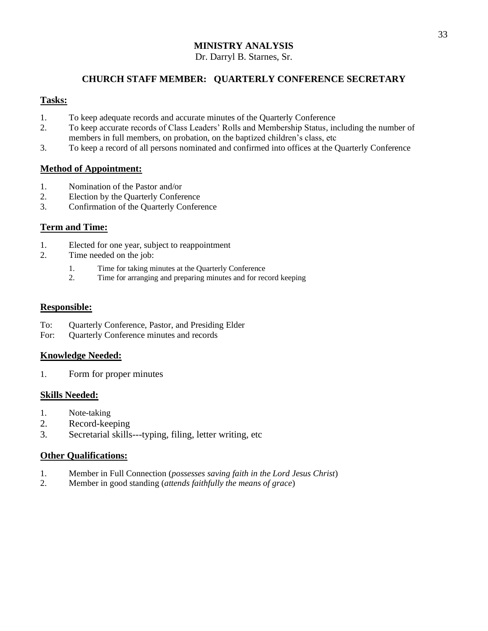#### Dr. Darryl B. Starnes, Sr.

# **CHURCH STAFF MEMBER: QUARTERLY CONFERENCE SECRETARY**

#### **Tasks:**

- 1. To keep adequate records and accurate minutes of the Quarterly Conference
- 2. To keep accurate records of Class Leaders' Rolls and Membership Status, including the number of members in full members, on probation, on the baptized children's class, etc
- 3. To keep a record of all persons nominated and confirmed into offices at the Quarterly Conference

#### **Method of Appointment:**

- 1. Nomination of the Pastor and/or
- 2. Election by the Quarterly Conference
- 3. Confirmation of the Quarterly Conference

## **Term and Time:**

- 1. Elected for one year, subject to reappointment
- 2. Time needed on the job:
	- 1. Time for taking minutes at the Quarterly Conference<br>2. Time for arranging and preparing minutes and for rec
	- Time for arranging and preparing minutes and for record keeping

#### **Responsible:**

- To: Quarterly Conference, Pastor, and Presiding Elder
- For: Quarterly Conference minutes and records

#### **Knowledge Needed:**

1. Form for proper minutes

#### **Skills Needed:**

- 1. Note-taking
- 2. Record-keeping
- 3. Secretarial skills---typing, filing, letter writing, etc

- 1. Member in Full Connection (*possesses saving faith in the Lord Jesus Christ*)
- 2. Member in good standing (*attends faithfully the means of grace*)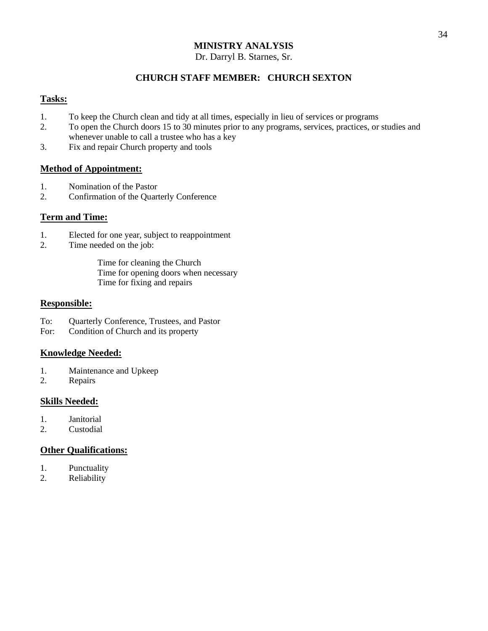#### Dr. Darryl B. Starnes, Sr.

#### **CHURCH STAFF MEMBER: CHURCH SEXTON**

#### **Tasks:**

- 1. To keep the Church clean and tidy at all times, especially in lieu of services or programs
- 2. To open the Church doors 15 to 30 minutes prior to any programs, services, practices, or studies and whenever unable to call a trustee who has a key
- 3. Fix and repair Church property and tools

#### **Method of Appointment:**

- 1. Nomination of the Pastor
- 2. Confirmation of the Quarterly Conference

#### **Term and Time:**

- 1. Elected for one year, subject to reappointment
- 2. Time needed on the job:

Time for cleaning the Church Time for opening doors when necessary Time for fixing and repairs

#### **Responsible:**

- To: Quarterly Conference, Trustees, and Pastor
- For: Condition of Church and its property

#### **Knowledge Needed:**

- 1. Maintenance and Upkeep
- 2. Repairs

#### **Skills Needed:**

- 1. Janitorial
- 2. Custodial

- 1. Punctuality
- 2. Reliability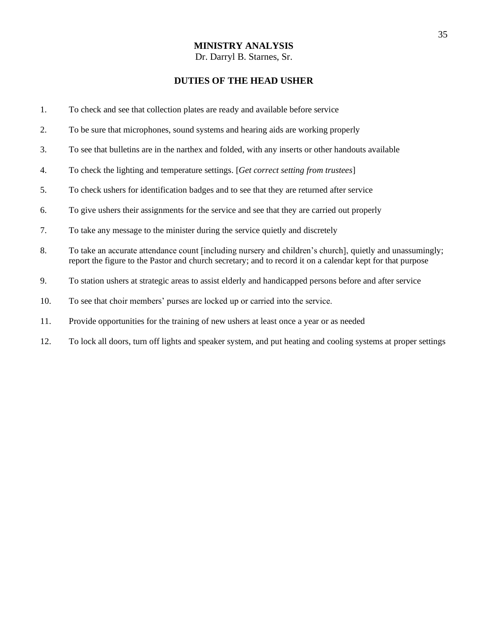# **DUTIES OF THE HEAD USHER**

| 1.  | To check and see that collection plates are ready and available before service                                                                                                                                          |
|-----|-------------------------------------------------------------------------------------------------------------------------------------------------------------------------------------------------------------------------|
| 2.  | To be sure that microphones, sound systems and hearing aids are working properly                                                                                                                                        |
| 3.  | To see that bulletins are in the narthex and folded, with any inserts or other handouts available                                                                                                                       |
| 4.  | To check the lighting and temperature settings. [Get correct setting from trustees]                                                                                                                                     |
| 5.  | To check ushers for identification badges and to see that they are returned after service                                                                                                                               |
| 6.  | To give ushers their assignments for the service and see that they are carried out properly                                                                                                                             |
| 7.  | To take any message to the minister during the service quietly and discretely                                                                                                                                           |
| 8.  | To take an accurate attendance count [including nursery and children's church], quietly and unassumingly;<br>report the figure to the Pastor and church secretary; and to record it on a calendar kept for that purpose |
| 9.  | To station ushers at strategic areas to assist elderly and handicapped persons before and after service                                                                                                                 |
| 10. | To see that choir members' purses are locked up or carried into the service.                                                                                                                                            |
| 11. | Provide opportunities for the training of new ushers at least once a year or as needed                                                                                                                                  |
|     |                                                                                                                                                                                                                         |

12. To lock all doors, turn off lights and speaker system, and put heating and cooling systems at proper settings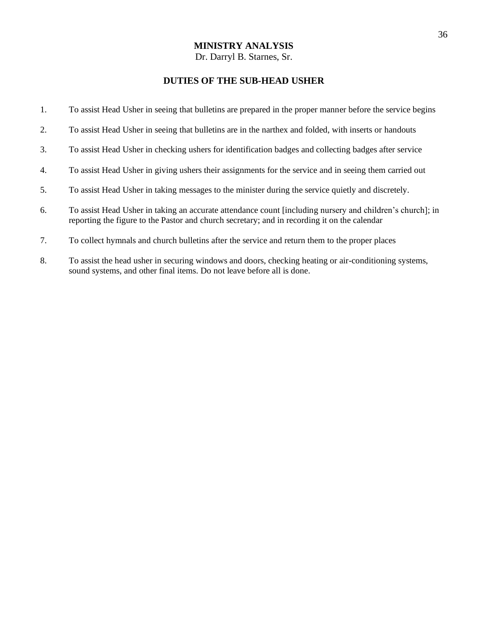#### **DUTIES OF THE SUB-HEAD USHER**

- 1. To assist Head Usher in seeing that bulletins are prepared in the proper manner before the service begins
- 2. To assist Head Usher in seeing that bulletins are in the narthex and folded, with inserts or handouts
- 3. To assist Head Usher in checking ushers for identification badges and collecting badges after service
- 4. To assist Head Usher in giving ushers their assignments for the service and in seeing them carried out
- 5. To assist Head Usher in taking messages to the minister during the service quietly and discretely.
- 6. To assist Head Usher in taking an accurate attendance count [including nursery and children's church]; in reporting the figure to the Pastor and church secretary; and in recording it on the calendar
- 7. To collect hymnals and church bulletins after the service and return them to the proper places
- 8. To assist the head usher in securing windows and doors, checking heating or air-conditioning systems, sound systems, and other final items. Do not leave before all is done.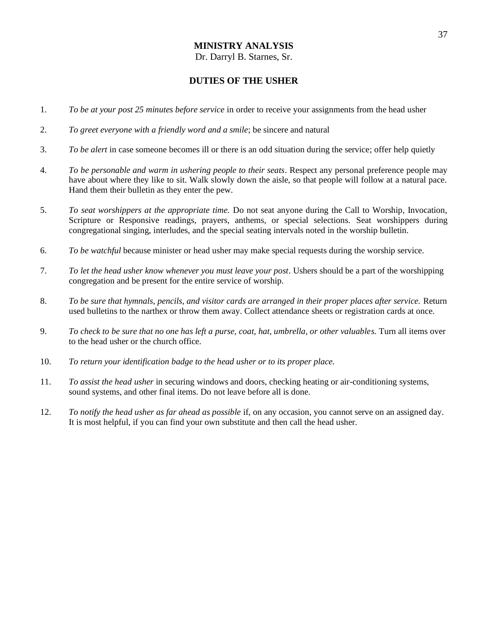Dr. Darryl B. Starnes, Sr.

# **DUTIES OF THE USHER**

- 1. *To be at your post 25 minutes before service* in order to receive your assignments from the head usher
- 2. *To greet everyone with a friendly word and a smile*; be sincere and natural
- 3. *To be alert* in case someone becomes ill or there is an odd situation during the service; offer help quietly
- 4. *To be personable and warm in ushering people to their seats*. Respect any personal preference people may have about where they like to sit. Walk slowly down the aisle, so that people will follow at a natural pace. Hand them their bulletin as they enter the pew.
- 5. *To seat worshippers at the appropriate time.* Do not seat anyone during the Call to Worship, Invocation, Scripture or Responsive readings, prayers, anthems, or special selections. Seat worshippers during congregational singing, interludes, and the special seating intervals noted in the worship bulletin.
- 6. *To be watchful* because minister or head usher may make special requests during the worship service.
- 7. *To let the head usher know whenever you must leave your post*. Ushers should be a part of the worshipping congregation and be present for the entire service of worship.
- 8. *To be sure that hymnals, pencils, and visitor cards are arranged in their proper places after service.* Return used bulletins to the narthex or throw them away. Collect attendance sheets or registration cards at once.
- 9. *To check to be sure that no one has left a purse, coat, hat, umbrella, or other valuables.* Turn all items over to the head usher or the church office.
- 10. *To return your identification badge to the head usher or to its proper place.*
- 11. *To assist the head usher* in securing windows and doors, checking heating or air-conditioning systems, sound systems, and other final items. Do not leave before all is done.
- 12. *To notify the head usher as far ahead as possible* if, on any occasion, you cannot serve on an assigned day. It is most helpful, if you can find your own substitute and then call the head usher.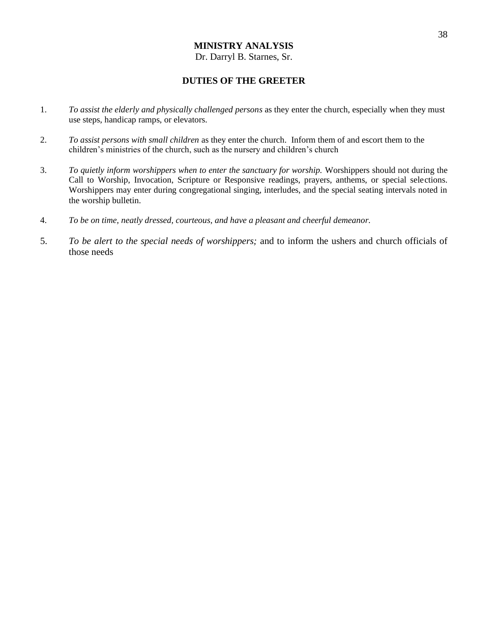#### **DUTIES OF THE GREETER**

- 1. *To assist the elderly and physically challenged persons* as they enter the church, especially when they must use steps, handicap ramps, or elevators.
- 2. *To assist persons with small children* as they enter the church. Inform them of and escort them to the children's ministries of the church, such as the nursery and children's church
- 3. *To quietly inform worshippers when to enter the sanctuary for worship.* Worshippers should not during the Call to Worship, Invocation, Scripture or Responsive readings, prayers, anthems, or special selections. Worshippers may enter during congregational singing, interludes, and the special seating intervals noted in the worship bulletin.
- 4. *To be on time, neatly dressed, courteous, and have a pleasant and cheerful demeanor.*
- 5. *To be alert to the special needs of worshippers;* and to inform the ushers and church officials of those needs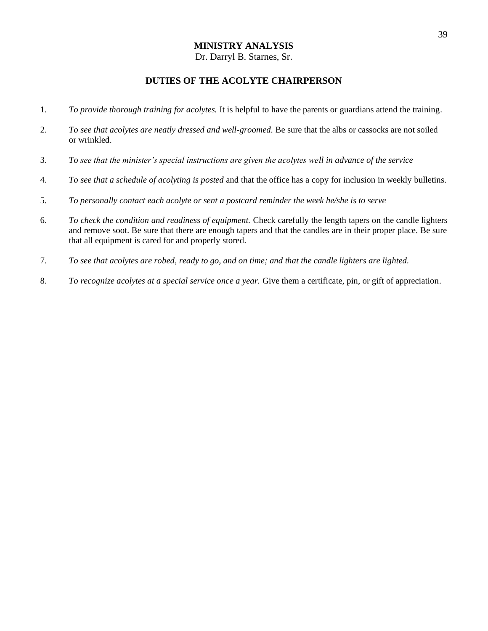# Dr. Darryl B. Starnes, Sr.

# **DUTIES OF THE ACOLYTE CHAIRPERSON**

- 1. *To provide thorough training for acolytes.* It is helpful to have the parents or guardians attend the training.
- 2. *To see that acolytes are neatly dressed and well-groomed.* Be sure that the albs or cassocks are not soiled or wrinkled.
- 3. *To see that the minister's special instructions are given the acolytes well in advance of the service*
- 4. *To see that a schedule of acolyting is posted* and that the office has a copy for inclusion in weekly bulletins.
- 5. *To personally contact each acolyte or sent a postcard reminder the week he/she is to serve*
- 6. *To check the condition and readiness of equipment.* Check carefully the length tapers on the candle lighters and remove soot. Be sure that there are enough tapers and that the candles are in their proper place. Be sure that all equipment is cared for and properly stored.
- 7. *To see that acolytes are robed, ready to go, and on time; and that the candle lighters are lighted.*
- 8. *To recognize acolytes at a special service once a year.* Give them a certificate, pin, or gift of appreciation.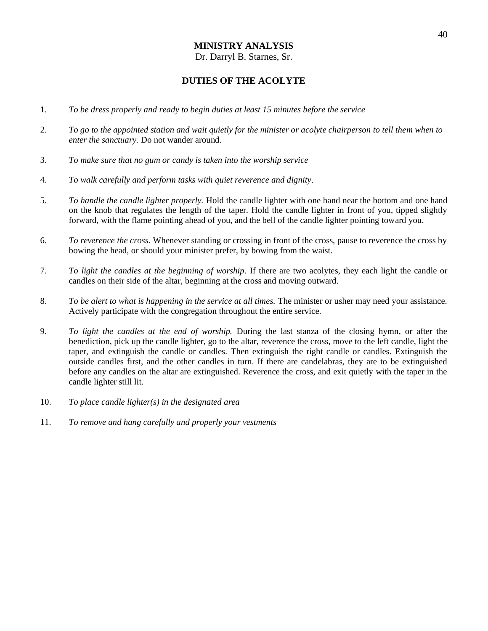## **DUTIES OF THE ACOLYTE**

- 1. *To be dress properly and ready to begin duties at least 15 minutes before the service*
- 2. *To go to the appointed station and wait quietly for the minister or acolyte chairperson to tell them when to enter the sanctuary.* Do not wander around.
- 3. *To make sure that no gum or candy is taken into the worship service*
- 4. *To walk carefully and perform tasks with quiet reverence and dignity*.
- 5. *To handle the candle lighter properly.* Hold the candle lighter with one hand near the bottom and one hand on the knob that regulates the length of the taper. Hold the candle lighter in front of you, tipped slightly forward, with the flame pointing ahead of you, and the bell of the candle lighter pointing toward you.
- 6. *To reverence the cross.* Whenever standing or crossing in front of the cross, pause to reverence the cross by bowing the head, or should your minister prefer, by bowing from the waist.
- 7. *To light the candles at the beginning of worship.* If there are two acolytes, they each light the candle or candles on their side of the altar, beginning at the cross and moving outward.
- 8. *To be alert to what is happening in the service at all times.* The minister or usher may need your assistance. Actively participate with the congregation throughout the entire service.
- 9. *To light the candles at the end of worship.* During the last stanza of the closing hymn, or after the benediction, pick up the candle lighter, go to the altar, reverence the cross, move to the left candle, light the taper, and extinguish the candle or candles. Then extinguish the right candle or candles. Extinguish the outside candles first, and the other candles in turn. If there are candelabras, they are to be extinguished before any candles on the altar are extinguished. Reverence the cross, and exit quietly with the taper in the candle lighter still lit.
- 10. *To place candle lighter(s) in the designated area*
- 11. *To remove and hang carefully and properly your vestments*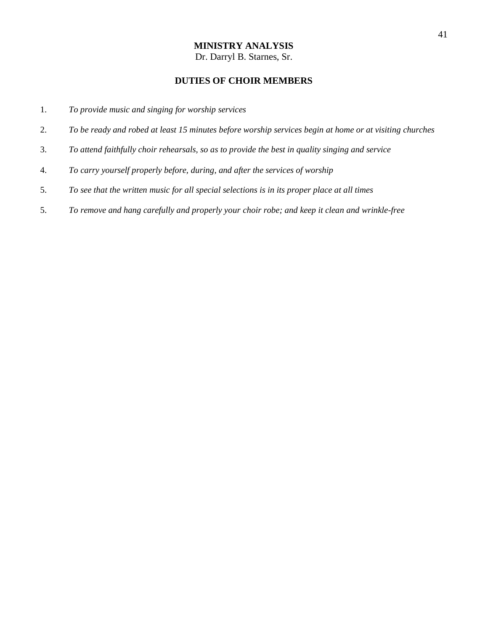# **DUTIES OF CHOIR MEMBERS**

- 1. *To provide music and singing for worship services*
- 2. *To be ready and robed at least 15 minutes before worship services begin at home or at visiting churches*
- 3. *To attend faithfully choir rehearsals, so as to provide the best in quality singing and service*
- 4. *To carry yourself properly before, during, and after the services of worship*
- 5. *To see that the written music for all special selections is in its proper place at all times*
- 5. *To remove and hang carefully and properly your choir robe; and keep it clean and wrinkle-free*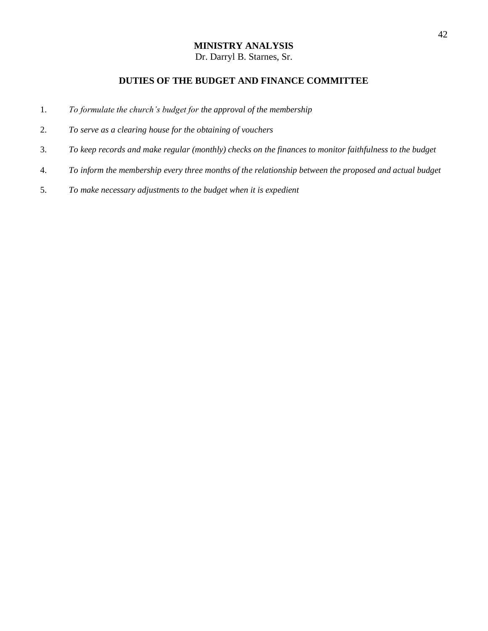# **DUTIES OF THE BUDGET AND FINANCE COMMITTEE**

- 1. *To formulate the church's budget for the approval of the membership*
- 2. *To serve as a clearing house for the obtaining of vouchers*
- 3. *To keep records and make regular (monthly) checks on the finances to monitor faithfulness to the budget*
- 4. *To inform the membership every three months of the relationship between the proposed and actual budget*
- 5. *To make necessary adjustments to the budget when it is expedient*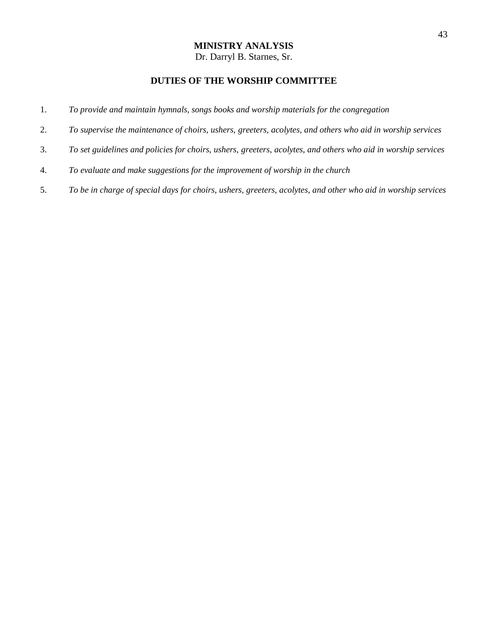# **DUTIES OF THE WORSHIP COMMITTEE**

- 1. *To provide and maintain hymnals, songs books and worship materials for the congregation*
- 2. *To supervise the maintenance of choirs, ushers, greeters, acolytes, and others who aid in worship services*
- 3. *To set guidelines and policies for choirs, ushers, greeters, acolytes, and others who aid in worship services*
- 4. *To evaluate and make suggestions for the improvement of worship in the church*
- 5. *To be in charge of special days for choirs, ushers, greeters, acolytes, and other who aid in worship services*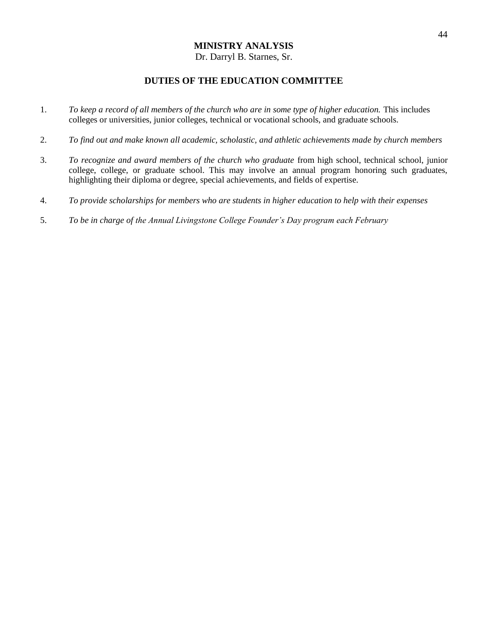#### **DUTIES OF THE EDUCATION COMMITTEE**

- 1. *To keep a record of all members of the church who are in some type of higher education.* This includes colleges or universities, junior colleges, technical or vocational schools, and graduate schools.
- 2. *To find out and make known all academic, scholastic, and athletic achievements made by church members*
- 3. *To recognize and award members of the church who graduate* from high school, technical school, junior college, college, or graduate school. This may involve an annual program honoring such graduates, highlighting their diploma or degree, special achievements, and fields of expertise.
- 4. *To provide scholarships for members who are students in higher education to help with their expenses*
- 5. *To be in charge of the Annual Livingstone College Founder's Day program each February*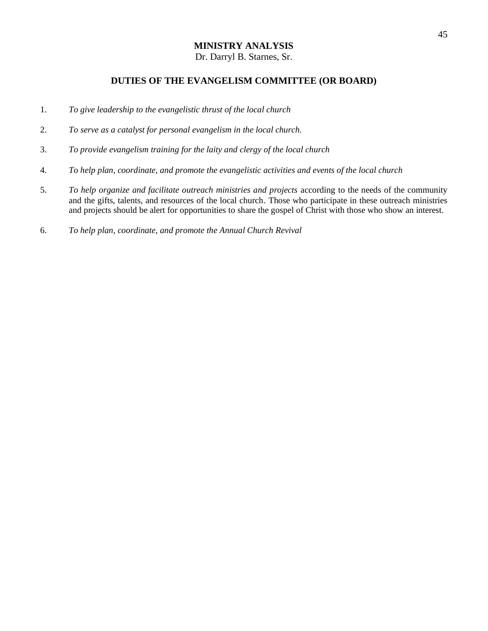#### **DUTIES OF THE EVANGELISM COMMITTEE (OR BOARD)**

- 1. *To give leadership to the evangelistic thrust of the local church*
- 2. *To serve as a catalyst for personal evangelism in the local church.*
- 3. *To provide evangelism training for the laity and clergy of the local church*
- 4. *To help plan, coordinate, and promote the evangelistic activities and events of the local church*
- 5. *To help organize and facilitate outreach ministries and projects* according to the needs of the community and the gifts, talents, and resources of the local church. Those who participate in these outreach ministries and projects should be alert for opportunities to share the gospel of Christ with those who show an interest.
- 6. *To help plan, coordinate, and promote the Annual Church Revival*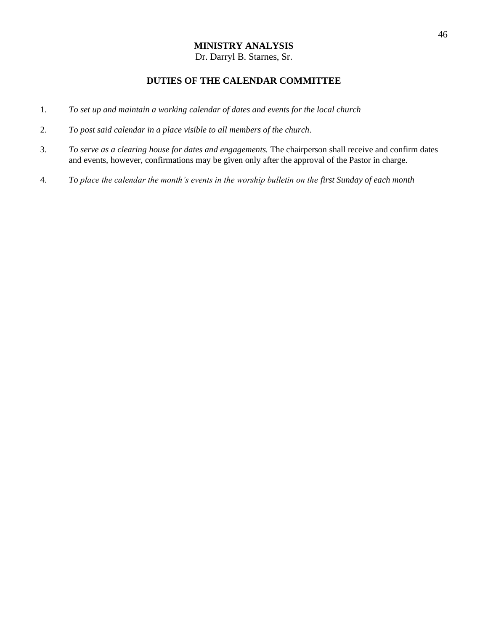# **DUTIES OF THE CALENDAR COMMITTEE**

- 1. *To set up and maintain a working calendar of dates and events for the local church*
- 2. *To post said calendar in a place visible to all members of the church.*
- 3. *To serve as a clearing house for dates and engagements.* The chairperson shall receive and confirm dates and events, however, confirmations may be given only after the approval of the Pastor in charge.
- 4. *To place the calendar the month's events in the worship bulletin on the first Sunday of each month*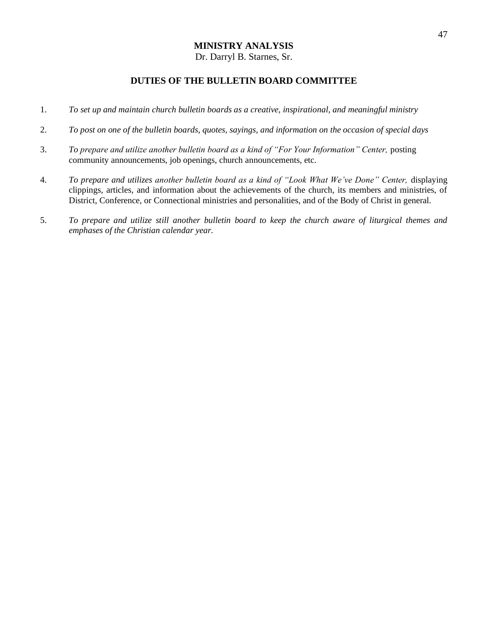#### **DUTIES OF THE BULLETIN BOARD COMMITTEE**

- 1. *To set up and maintain church bulletin boards as a creative, inspirational, and meaningful ministry*
- 2. *To post on one of the bulletin boards, quotes, sayings, and information on the occasion of special days*
- 3. *To prepare and utilize another bulletin board as a kind of "For Your Information" Center,* posting community announcements, job openings, church announcements, etc.
- 4. *To prepare and utilizes another bulletin board as a kind of "Look What We've Done" Center,* displaying clippings, articles, and information about the achievements of the church, its members and ministries, of District, Conference, or Connectional ministries and personalities, and of the Body of Christ in general.
- 5. *To prepare and utilize still another bulletin board to keep the church aware of liturgical themes and emphases of the Christian calendar year.*